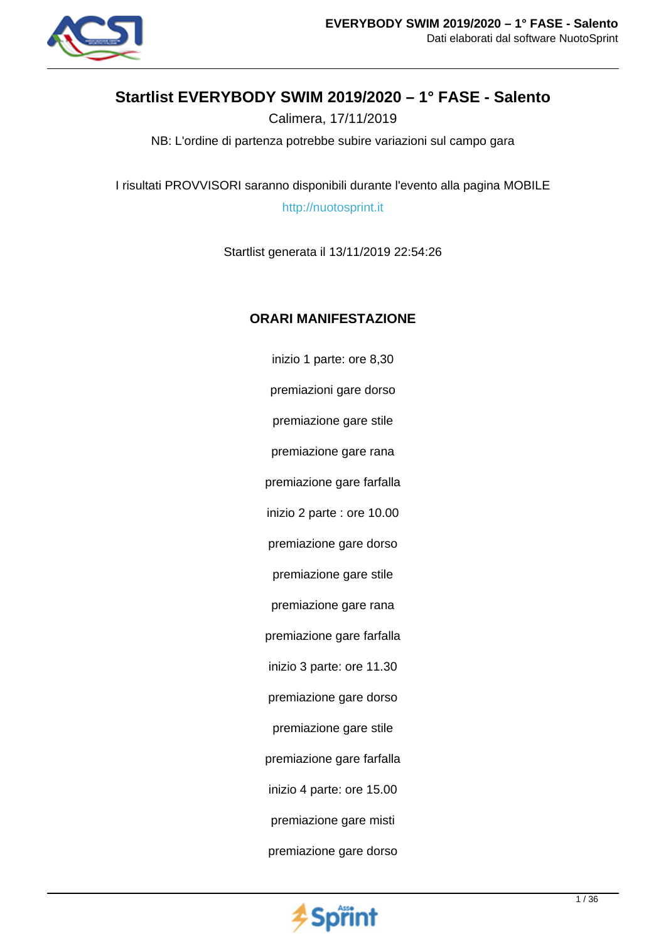

# **Startlist EVERYBODY SWIM 2019/2020 – 1° FASE - Salento**

Calimera, 17/11/2019

NB: L'ordine di partenza potrebbe subire variazioni sul campo gara

I risultati PROVVISORI saranno disponibili durante l'evento alla pagina MOBILE

http://nuotosprint.it

Startlist generata il 13/11/2019 22:54:26

## **ORARI MANIFESTAZIONE**

inizio 1 parte: ore 8,30 premiazioni gare dorso premiazione gare stile premiazione gare rana premiazione gare farfalla inizio 2 parte : ore 10.00 premiazione gare dorso premiazione gare stile premiazione gare rana premiazione gare farfalla inizio 3 parte: ore 11.30 premiazione gare dorso premiazione gare stile premiazione gare farfalla inizio 4 parte: ore 15.00 premiazione gare misti premiazione gare dorso

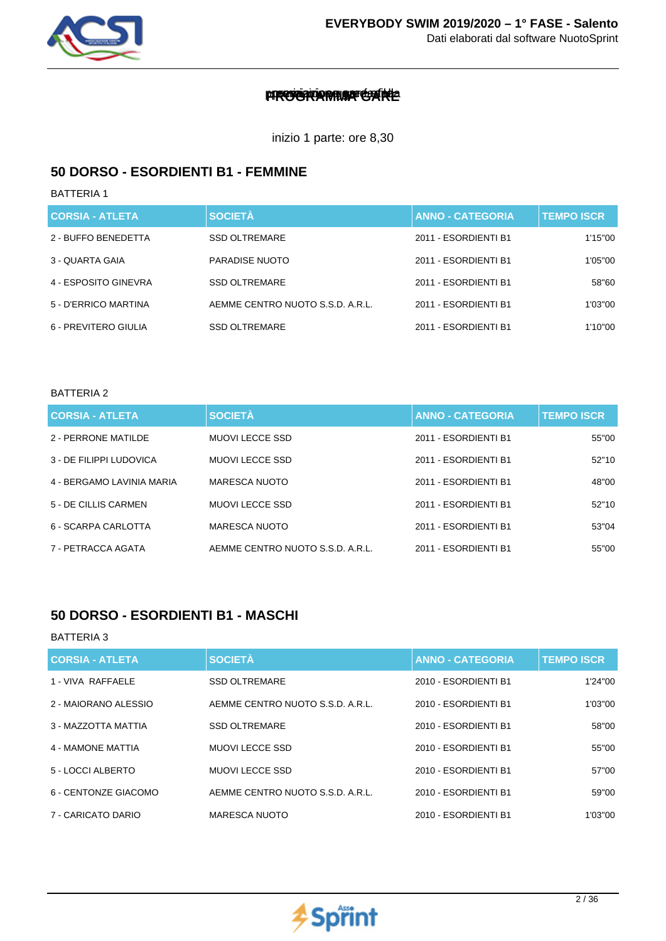

## premiarione gare farit

inizio 1 parte: ore 8,30

### **50 DORSO - ESORDIENTI B1 - FEMMINE**

BATTERIA 1

| <b>CORSIA - ATLETA</b> | <b>SOCIETÀ</b>                   | <b>ANNO - CATEGORIA</b> | <b>TEMPO ISCR</b> |
|------------------------|----------------------------------|-------------------------|-------------------|
| 2 - BUFFO BENEDETTA    | <b>SSD OLTREMARE</b>             | 2011 - ESORDIENTI B1    | 1'15"00           |
| 3 - QUARTA GAIA        | PARADISE NUOTO                   | 2011 - ESORDIENTI B1    | 1'05"00           |
| 4 - ESPOSITO GINEVRA   | <b>SSD OLTREMARE</b>             | 2011 - FSORDIENTI B1    | 58"60             |
| 5 - D'ERRICO MARTINA   | AEMME CENTRO NUOTO S.S.D. A.R.L. | 2011 - ESORDIENTI B1    | 1'03"00           |
| 6 - PREVITERO GIULIA   | <b>SSD OLTREMARE</b>             | 2011 - ESORDIENTI B1    | 1'10"00           |

#### BATTERIA 2

| <b>CORSIA - ATLETA</b>    | <b>SOCIETÀ</b>                   | <b>ANNO - CATEGORIA</b> | <b>TEMPO ISCR</b> |
|---------------------------|----------------------------------|-------------------------|-------------------|
| 2 - PERRONE MATILDE       | <b>MUOVILECCE SSD</b>            | 2011 - ESORDIENTI B1    | 55"00             |
| 3 - DE FILIPPI LUDOVICA   | <b>MUOVILECCE SSD</b>            | 2011 - ESORDIENTI B1    | 52"10             |
| 4 - BERGAMO LAVINIA MARIA | MARESCA NUOTO                    | 2011 - ESORDIENTI B1    | 48"00             |
| 5 - DE CILLIS CARMEN      | <b>MUOVILECCE SSD</b>            | 2011 - ESORDIENTI B1    | 52"10             |
| 6 - SCARPA CARLOTTA       | <b>MARESCA NUOTO</b>             | 2011 - ESORDIENTI B1    | 53"04             |
| 7 - PETRACCA AGATA        | AEMME CENTRO NUOTO S.S.D. A.R.L. | 2011 - ESORDIENTI B1    | 55"00             |

## **50 DORSO - ESORDIENTI B1 - MASCHI**

| <b>CORSIA - ATLETA</b> | <b>SOCIETÀ</b>                   | <b>ANNO - CATEGORIA</b> | <b>TEMPO ISCR</b> |
|------------------------|----------------------------------|-------------------------|-------------------|
| 1 - VIVA RAFFAELE      | <b>SSD OLTREMARE</b>             | 2010 - ESORDIENTI B1    | 1'24"00           |
| 2 - MAIORANO ALESSIO   | AEMME CENTRO NUOTO S.S.D. A.R.L. | 2010 - ESORDIENTI B1    | 1'03"00           |
| 3 - MAZZOTTA MATTIA    | <b>SSD OLTREMARE</b>             | 2010 - ESORDIENTI B1    | 58"00             |
| 4 - MAMONE MATTIA      | <b>MUOVILECCE SSD</b>            | 2010 - ESORDIENTI B1    | 55"00             |
| 5 - LOCCI ALBERTO      | <b>MUOVILECCE SSD</b>            | 2010 - ESORDIENTI B1    | 57"00             |
| 6 - CENTONZE GIACOMO   | AEMME CENTRO NUOTO S.S.D. A.R.L. | 2010 - ESORDIENTI B1    | 59"00             |
| 7 - CARICATO DARIO     | <b>MARESCA NUOTO</b>             | 2010 - ESORDIENTI B1    | 1'03"00           |

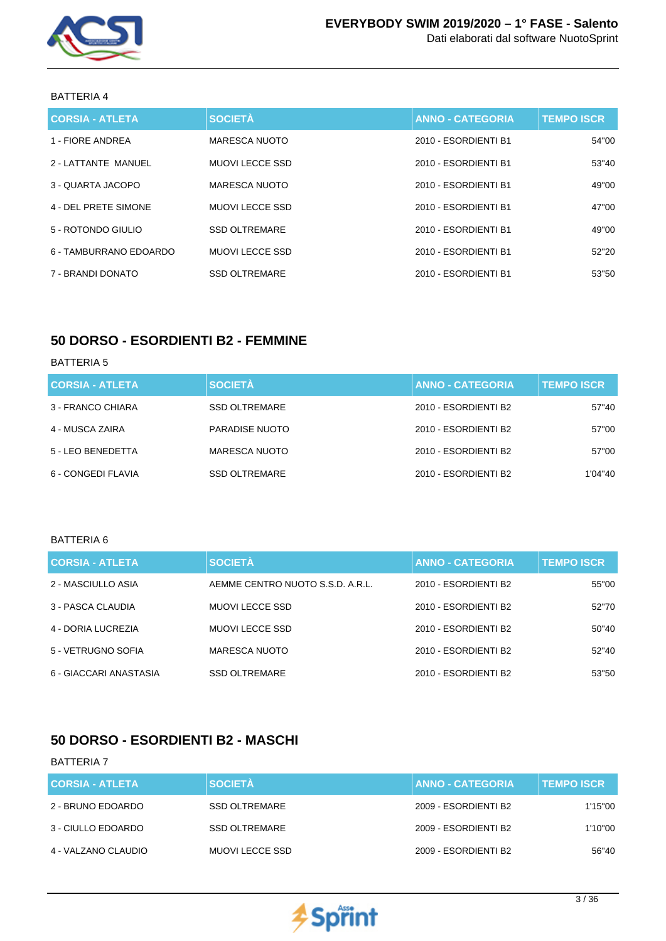

| <b>CORSIA - ATLETA</b> | <b>SOCIETÀ</b>         | <b>ANNO - CATEGORIA</b> | <b>TEMPO ISCR</b> |
|------------------------|------------------------|-------------------------|-------------------|
| 1 - FIORE ANDREA       | MARESCA NUOTO          | 2010 - ESORDIENTI B1    | 54"00             |
| 2 - LATTANTE MANUEL    | MUOVI LECCE SSD        | 2010 - ESORDIENTI B1    | 53"40             |
| 3 - QUARTA JACOPO      | MARESCA NUOTO          | 2010 - ESORDIENTI B1    | 49"00             |
| 4 - DEL PRETE SIMONE   | <b>MUOVI LECCE SSD</b> | 2010 - ESORDIENTI B1    | 47"00             |
| 5 - ROTONDO GIULIO     | <b>SSD OLTREMARE</b>   | 2010 - ESORDIENTI B1    | 49"00             |
| 6 - TAMBURRANO EDOARDO | MUOVI LECCE SSD        | 2010 - ESORDIENTI B1    | 52"20             |
| 7 - BRANDI DONATO      | <b>SSD OLTREMARE</b>   | 2010 - ESORDIENTI B1    | 53"50             |

## **50 DORSO - ESORDIENTI B2 - FEMMINE**

### BATTERIA 5

| <b>CORSIA - ATLETA</b> | <b>SOCIETÀ</b>       | <b>ANNO - CATEGORIA</b> | <b>TEMPO ISCR</b> |
|------------------------|----------------------|-------------------------|-------------------|
| 3 - FRANCO CHIARA      | <b>SSD OLTREMARE</b> | 2010 - ESORDIENTI B2    | 57"40             |
| 4 - MUSCA ZAIRA        | PARADISE NUOTO       | 2010 - ESORDIENTI B2    | 57"00             |
| 5 - LEO BENEDETTA      | <b>MARESCA NUOTO</b> | 2010 - ESORDIENTI B2    | 57"00             |
| 6 - CONGEDI FLAVIA     | <b>SSD OLTREMARE</b> | 2010 - ESORDIENTI B2    | 1'04''40          |

#### BATTERIA 6

| <b>CORSIA - ATLETA</b> | <b>SOCIETÀ</b>                   | <b>ANNO - CATEGORIA</b> | <b>TEMPO ISCR</b> |
|------------------------|----------------------------------|-------------------------|-------------------|
| 2 - MASCIULLO ASIA     | AEMME CENTRO NUOTO S.S.D. A.R.L. | 2010 - ESORDIENTI B2    | 55"00             |
| 3 - PASCA CLAUDIA      | MUOVI LECCE SSD                  | 2010 - ESORDIENTI B2    | 52"70             |
| 4 - DORIA LUCREZIA     | MUOVI LECCE SSD                  | 2010 - ESORDIENTI B2    | 50"40             |
| 5 - VETRUGNO SOFIA     | MARESCA NUOTO                    | 2010 - ESORDIENTI B2    | 52"40             |
| 6 - GIACCARI ANASTASIA | <b>SSD OLTREMARE</b>             | 2010 - ESORDIENTI B2    | 53"50             |

## **50 DORSO - ESORDIENTI B2 - MASCHI**

| <b>CORSIA - ATLETA</b> | <b>SOCIETÀ</b>       | <b>ANNO - CATEGORIA</b> | <b>TEMPO ISCR</b> |
|------------------------|----------------------|-------------------------|-------------------|
| 2 - BRUNO EDOARDO      | SSD OLTREMARE        | 2009 - ESORDIENTI B2    | 1'15"00           |
| 3 - CIULLO EDOARDO     | <b>SSD OLTREMARE</b> | 2009 - ESORDIENTI B2    | 1'10"00           |
| 4 - VALZANO CLAUDIO    | MUOVI LECCE SSD      | 2009 - ESORDIENTI B2    | 56"40             |

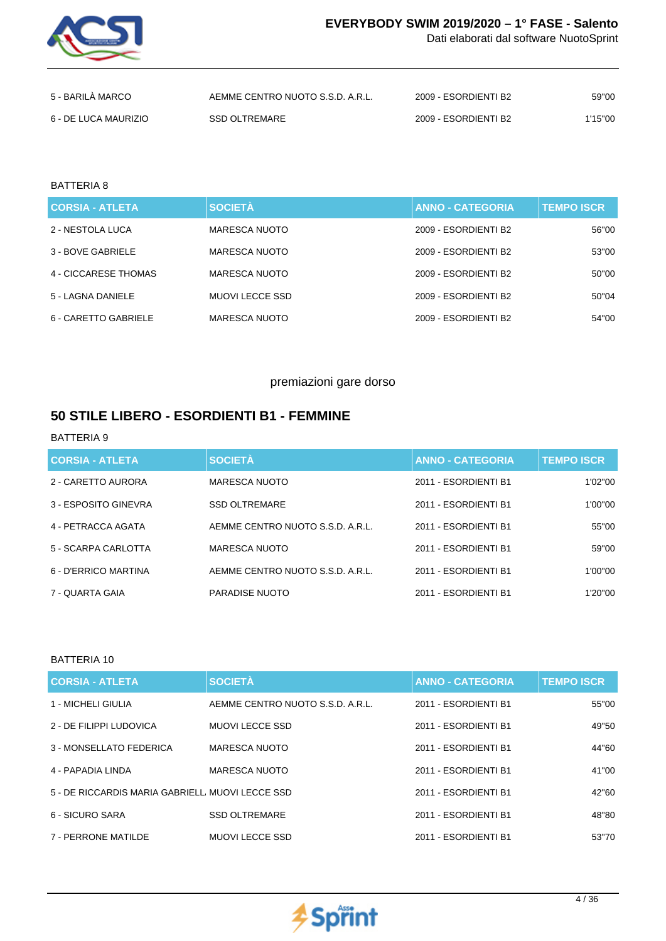

Dati elaborati dal software NuotoSprint

| 5 - BARILA MARCO     | AEMME CENTRO NUOTO S.S.D. A.R.L. | 2009 - ESORDIENTI B2 | 59"00   |
|----------------------|----------------------------------|----------------------|---------|
| 6 - DE LUCA MAURIZIO | SSD OLTREMARE                    | 2009 - ESORDIENTI B2 | 1'15"00 |

#### BATTERIA 8

| <b>CORSIA - ATLETA</b> | <b>SOCIETÀ</b>  | <b>ANNO - CATEGORIA</b> | <b>TEMPO ISCR</b> |
|------------------------|-----------------|-------------------------|-------------------|
| 2 - NESTOLA LUCA       | MARESCA NUOTO   | 2009 - ESORDIENTI B2    | 56"00             |
| 3 - BOVE GABRIELE      | MARESCA NUOTO   | 2009 - ESORDIENTI B2    | 53"00             |
| 4 - CICCARESE THOMAS   | MARESCA NUOTO   | 2009 - ESORDIENTI B2    | 50"00             |
| 5 - LAGNA DANIELE      | MUOVI LECCE SSD | 2009 - ESORDIENTI B2    | 50"04             |
| 6 - CARETTO GABRIELE   | MARESCA NUOTO   | 2009 - ESORDIENTI B2    | 54"00             |

### premiazioni gare dorso

## **50 STILE LIBERO - ESORDIENTI B1 - FEMMINE**

### BATTERIA 9

| <b>CORSIA - ATLETA</b> | <b>SOCIETÀ</b>                   | <b>ANNO - CATEGORIA</b> | <b>TEMPO ISCR</b> |
|------------------------|----------------------------------|-------------------------|-------------------|
| 2 - CARETTO AURORA     | MARESCA NUOTO                    | 2011 - ESORDIENTI B1    | 1'02"00           |
| 3 - ESPOSITO GINEVRA   | <b>SSD OLTREMARE</b>             | 2011 - ESORDIENTI B1    | 1'00"00           |
| 4 - PETRACCA AGATA     | AEMME CENTRO NUOTO S.S.D. A.R.L. | 2011 - ESORDIENTI B1    | 55"00             |
| 5 - SCARPA CARLOTTA    | <b>MARESCA NUOTO</b>             | 2011 - ESORDIENTI B1    | 59"00             |
| 6 - D'ERRICO MARTINA   | AEMME CENTRO NUOTO S.S.D. A.R.L. | 2011 - ESORDIENTI B1    | 1'00"00           |
| 7 - QUARTA GAIA        | PARADISE NUOTO                   | 2011 - ESORDIENTI B1    | 1'20"00           |

| <b>CORSIA - ATLETA</b>                          | <b>SOCIETÀ</b>                   | <b>ANNO - CATEGORIA</b> | <b>TEMPO ISCR</b> |
|-------------------------------------------------|----------------------------------|-------------------------|-------------------|
| 1 - MICHELI GIULIA                              | AEMME CENTRO NUOTO S.S.D. A.R.L. | 2011 - ESORDIENTI B1    | 55"00             |
| 2 - DE FILIPPI LUDOVICA                         | <b>MUOVILECCE SSD</b>            | 2011 - ESORDIENTI B1    | 49"50             |
| 3 - MONSELLATO FEDERICA                         | MARESCA NUOTO                    | 2011 - ESORDIENTI B1    | 44"60             |
| 4 - PAPADIA LINDA                               | MARESCA NUOTO                    | 2011 - ESORDIENTI B1    | 41"00             |
| 5 - DE RICCARDIS MARIA GABRIELL MUOVI LECCE SSD |                                  | 2011 - ESORDIENTI B1    | 42"60             |
| 6 - SICURO SARA                                 | <b>SSD OLTREMARE</b>             | 2011 - ESORDIENTI B1    | 48"80             |
| 7 - PERRONE MATILDE                             | <b>MUOVILECCE SSD</b>            | 2011 - ESORDIENTI B1    | 53"70             |

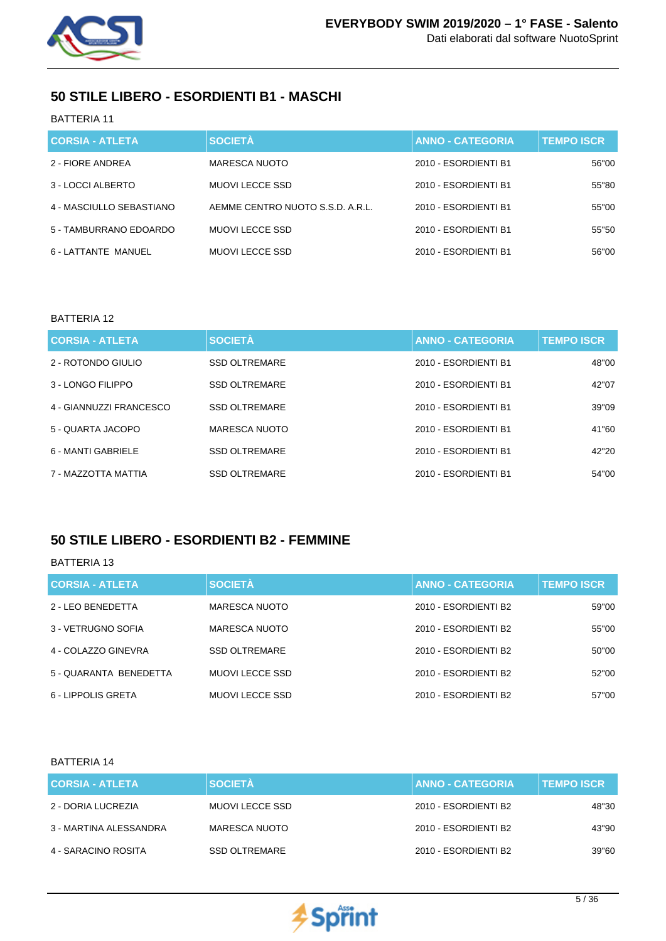

## **50 STILE LIBERO - ESORDIENTI B1 - MASCHI**

### BATTERIA 11

| <b>CORSIA - ATLETA</b>   | <b>SOCIETÀ</b>                   | <b>ANNO - CATEGORIA</b> | <b>TEMPO ISCR</b> |
|--------------------------|----------------------------------|-------------------------|-------------------|
| 2 - FIORE ANDREA         | MARESCA NUOTO                    | 2010 - ESORDIENTI B1    | 56"00             |
| 3 - LOCCI ALBERTO        | <b>MUOVI LECCE SSD</b>           | 2010 - ESORDIENTI B1    | 55"80             |
| 4 - MASCIULLO SEBASTIANO | AEMME CENTRO NUOTO S.S.D. A.R.L. | 2010 - ESORDIENTI B1    | 55"00             |
| 5 - TAMBURRANO EDOARDO   | MUOVI LECCE SSD                  | 2010 - ESORDIENTI B1    | 55"50             |
| 6 - LATTANTE MANUEL      | <b>MUOVI LECCE SSD</b>           | 2010 - ESORDIENTI B1    | 56"00             |

### BATTERIA 12

| <b>CORSIA - ATLETA</b>  | <b>SOCIETÀ</b>       | <b>ANNO - CATEGORIA</b> | <b>TEMPO ISCR</b> |
|-------------------------|----------------------|-------------------------|-------------------|
| 2 - ROTONDO GIULIO      | <b>SSD OLTREMARE</b> | 2010 - ESORDIENTI B1    | 48"00             |
| 3 - LONGO FILIPPO       | <b>SSD OLTREMARE</b> | 2010 - ESORDIENTI B1    | 42"07             |
| 4 - GIANNUZZI FRANCESCO | <b>SSD OLTREMARE</b> | 2010 - ESORDIENTI B1    | 39"09             |
| 5 - QUARTA JACOPO       | MARESCA NUOTO        | 2010 - ESORDIENTI B1    | 41"60             |
| 6 - MANTI GABRIELE      | <b>SSD OLTREMARE</b> | 2010 - ESORDIENTI B1    | 42"20             |
| 7 - MAZZOTTA MATTIA     | <b>SSD OLTREMARE</b> | 2010 - ESORDIENTI B1    | 54"00             |

## **50 STILE LIBERO - ESORDIENTI B2 - FEMMINE**

### BATTERIA 13

| <b>CORSIA - ATLETA</b> | <b>SOCIETÀ</b>       | <b>ANNO - CATEGORIA</b> | <b>TEMPO ISCR</b> |
|------------------------|----------------------|-------------------------|-------------------|
| 2 - LEO BENEDETTA      | MARESCA NUOTO        | 2010 - ESORDIENTI B2    | 59"00             |
| 3 - VETRUGNO SOFIA     | <b>MARESCA NUOTO</b> | 2010 - ESORDIENTI B2    | 55"00             |
| 4 - COLAZZO GINEVRA    | <b>SSD OLTREMARE</b> | 2010 - ESORDIENTI B2    | 50"00             |
| 5 - QUARANTA BENEDETTA | MUOVI LECCE SSD      | 2010 - ESORDIENTI B2    | 52"00             |
| 6 - LIPPOLIS GRETA     | MUOVI LECCE SSD      | 2010 - ESORDIENTI B2    | 57"00             |

| <b>CORSIA - ATLETA</b> | <b>SOCIETÀ</b>       | <b>ANNO - CATEGORIA</b> | <b>TEMPO ISCR</b> |
|------------------------|----------------------|-------------------------|-------------------|
| 2 - DORIA LUCREZIA     | MUOVI LECCE SSD      | 2010 - ESORDIENTI B2    | 48"30             |
| 3 - MARTINA ALESSANDRA | MARESCA NUOTO        | 2010 - ESORDIENTI B2    | 43"90             |
| 4 - SARACINO ROSITA    | <b>SSD OLTREMARE</b> | 2010 - ESORDIENTI B2    | 39"60             |

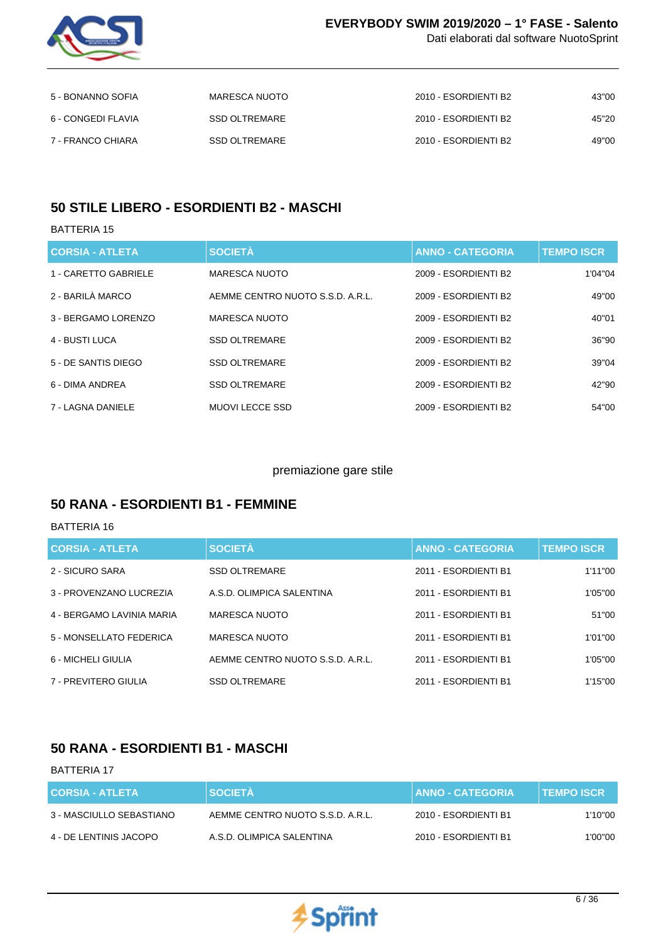

Dati elaborati dal software NuotoSprint

| 5 - BONANNO SOFIA  | MARESCA NUOTO | 2010 - ESORDIENTI B2 | 43"00 |
|--------------------|---------------|----------------------|-------|
| 6 - CONGEDI FLAVIA | SSD OLTREMARE | 2010 - ESORDIENTI B2 | 45"20 |
| 7 - FRANCO CHIARA  | SSD OLTREMARE | 2010 - ESORDIENTI B2 | 49"00 |

## **50 STILE LIBERO - ESORDIENTI B2 - MASCHI**

### BATTERIA 15

| <b>CORSIA - ATLETA</b> | <b>SOCIETÀ</b>                   | <b>ANNO - CATEGORIA</b> | <b>TEMPO ISCR</b> |
|------------------------|----------------------------------|-------------------------|-------------------|
| 1 - CARETTO GABRIELE   | <b>MARESCA NUOTO</b>             | 2009 - ESORDIENTI B2    | 1'04"04           |
| 2 - BARILÀ MARCO       | AEMME CENTRO NUOTO S.S.D. A.R.L. | 2009 - ESORDIENTI B2    | 49"00             |
| 3 - BERGAMO LORENZO    | <b>MARESCA NUOTO</b>             | 2009 - ESORDIENTI B2    | 40"01             |
| 4 - BUSTI LUCA         | <b>SSD OLTREMARE</b>             | 2009 - ESORDIENTI B2    | 36"90             |
| 5 - DE SANTIS DIEGO    | <b>SSD OLTREMARE</b>             | 2009 - ESORDIENTI B2    | 39"04             |
| 6 - DIMA ANDREA        | <b>SSD OLTREMARE</b>             | 2009 - ESORDIENTI B2    | 42"90             |
| 7 - LAGNA DANIELE      | <b>MUOVILECCE SSD</b>            | 2009 - ESORDIENTI B2    | 54"00             |

### premiazione gare stile

## **50 RANA - ESORDIENTI B1 - FEMMINE**

#### BATTERIA 16

| <b>CORSIA - ATLETA</b>    | <b>SOCIETÀ</b>                   | <b>ANNO - CATEGORIA</b> | <b>TEMPO ISCR</b> |
|---------------------------|----------------------------------|-------------------------|-------------------|
| 2 - SICURO SARA           | <b>SSD OLTREMARE</b>             | 2011 - ESORDIENTI B1    | 1'11"00           |
| 3 - PROVENZANO LUCREZIA   | A.S.D. OLIMPICA SALENTINA        | 2011 - ESORDIENTI B1    | 1'05"00           |
| 4 - BERGAMO LAVINIA MARIA | MARESCA NUOTO                    | 2011 - ESORDIENTI B1    | 51"00             |
| 5 - MONSELLATO FEDERICA   | MARESCA NUOTO                    | 2011 - ESORDIENTI B1    | 1'01"00           |
| 6 - MICHELI GIULIA        | AEMME CENTRO NUOTO S.S.D. A.R.L. | 2011 - ESORDIENTI B1    | 1'05"00           |
| 7 - PREVITERO GIULIA      | <b>SSD OLTREMARE</b>             | 2011 - FSORDIENTI B1    | 1'15"00           |

## **50 RANA - ESORDIENTI B1 - MASCHI**

| <b>CORSIA - ATLETA</b>   | <b>SOCIETÀ</b>                   | <b>∣ANNO - CATEGORIA</b> | <b>TEMPO ISCR</b> |
|--------------------------|----------------------------------|--------------------------|-------------------|
| 3 - MASCIULLO SEBASTIANO | AEMME CENTRO NUOTO S.S.D. A.R.L. | 2010 - ESORDIENTI B1     | 1'10"00           |
| 4 - DE LENTINIS JACOPO   | A.S.D. OLIMPICA SALENTINA        | 2010 - ESORDIENTI B1     | 1'00"00           |

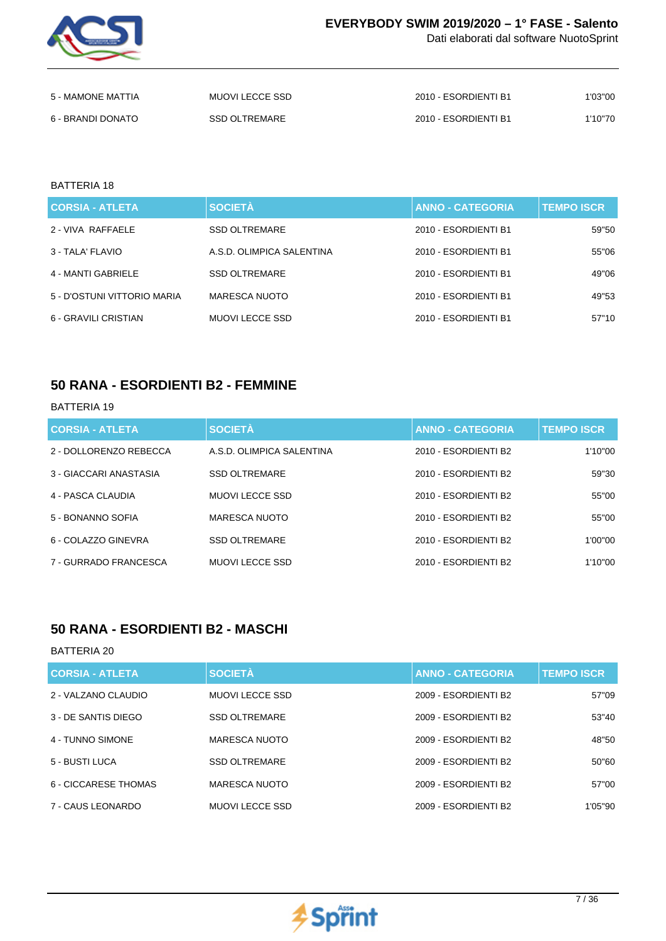

Dati elaborati dal software NuotoSprint

| 5 - MAMONE MATTIA | MUOVI LECCE SSD | 2010 - ESORDIENTI B1 | 1'03"00 |
|-------------------|-----------------|----------------------|---------|
| 6 - BRANDI DONATO | SSD OLTREMARE   | 2010 - ESORDIENTI B1 | 1'10"70 |

#### BATTERIA 18

| <b>CORSIA - ATLETA</b>      | <b>SOCIETÀ</b>            | <b>ANNO - CATEGORIA</b> | <b>TEMPO ISCR</b> |
|-----------------------------|---------------------------|-------------------------|-------------------|
| 2 - VIVA RAFFAELE           | <b>SSD OLTREMARE</b>      | 2010 - ESORDIENTI B1    | 59"50             |
| 3 - TALA' FLAVIO            | A.S.D. OLIMPICA SALENTINA | 2010 - ESORDIENTI B1    | 55"06             |
| 4 - MANTI GABRIELE          | <b>SSD OLTREMARE</b>      | 2010 - ESORDIENTI B1    | 49"06             |
| 5 - D'OSTUNI VITTORIO MARIA | MARESCA NUOTO             | 2010 - ESORDIENTI B1    | 49"53             |
| 6 - GRAVILI CRISTIAN        | MUOVI LECCE SSD           | 2010 - ESORDIENTI B1    | 57"10             |

### **50 RANA - ESORDIENTI B2 - FEMMINE**

#### BATTERIA 19

| <b>CORSIA - ATLETA</b> | <b>SOCIETÀ</b>            | <b>ANNO - CATEGORIA</b> | <b>TEMPO ISCR</b> |
|------------------------|---------------------------|-------------------------|-------------------|
| 2 - DOLLORENZO REBECCA | A.S.D. OLIMPICA SALENTINA | 2010 - ESORDIENTI B2    | 1'10"00           |
| 3 - GIACCARI ANASTASIA | <b>SSD OLTREMARE</b>      | 2010 - ESORDIENTI B2    | 59"30             |
| 4 - PASCA CLAUDIA      | <b>MUOVILECCE SSD</b>     | 2010 - ESORDIENTI B2    | 55"00             |
| 5 - BONANNO SOFIA      | MARESCA NUOTO             | 2010 - ESORDIENTI B2    | 55"00             |
| 6 - COLAZZO GINEVRA    | <b>SSD OLTREMARE</b>      | 2010 - ESORDIENTI B2    | 1'00"00           |
| 7 - GURRADO FRANCESCA  | <b>MUOVILECCE SSD</b>     | 2010 - ESORDIENTI B2    | 1'10"00           |

### **50 RANA - ESORDIENTI B2 - MASCHI**

| <b>CORSIA - ATLETA</b> | <b>SOCIETÀ</b>        | <b>ANNO - CATEGORIA</b> | <b>TEMPO ISCR</b> |
|------------------------|-----------------------|-------------------------|-------------------|
| 2 - VALZANO CLAUDIO    | <b>MUOVILECCE SSD</b> | 2009 - ESORDIENTI B2    | 57"09             |
| 3 - DE SANTIS DIEGO    | <b>SSD OLTREMARE</b>  | 2009 - ESORDIENTI B2    | 53"40             |
| 4 - TUNNO SIMONE       | MARESCA NUOTO         | 2009 - ESORDIENTI B2    | 48"50             |
| 5 - BUSTI LUCA         | <b>SSD OLTREMARE</b>  | 2009 - ESORDIENTI B2    | 50"60             |
| 6 - CICCARESE THOMAS   | MARESCA NUOTO         | 2009 - ESORDIENTI B2    | 57"00             |
| 7 - CAUS LEONARDO      | <b>MUOVILECCE SSD</b> | 2009 - ESORDIENTI B2    | 1'05"90           |

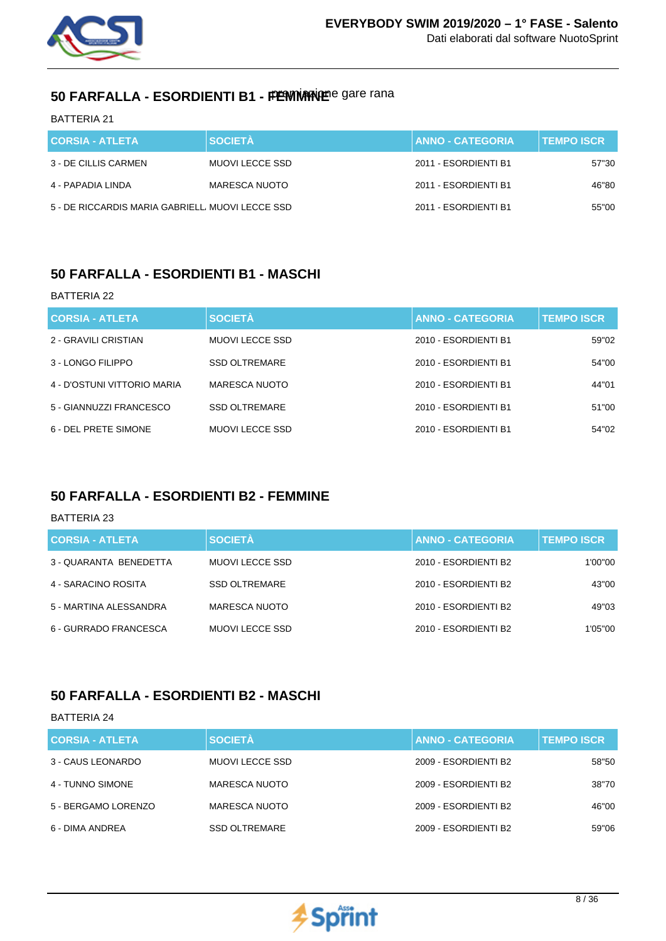

# 50 FARFALLA - ESORDIENTI B1 - FEWNANDER gare rana

BATTERIA 21

| <b>CORSIA - ATLETA</b>                          | <b>SOCIETÀ</b>  | <b>ANNO - CATEGORIA</b> | <b>TEMPO ISCR</b> |
|-------------------------------------------------|-----------------|-------------------------|-------------------|
| 3 - DE CILLIS CARMEN                            | MUOVI LECCE SSD | 2011 - ESORDIENTI B1    | 57"30             |
| 4 - PAPADIA LINDA                               | MARESCA NUOTO   | 2011 - ESORDIENTI B1    | 46"80             |
| 5 - DE RICCARDIS MARIA GABRIELL MUOVI LECCE SSD |                 | 2011 - ESORDIENTI B1    | 55"00             |

## **50 FARFALLA - ESORDIENTI B1 - MASCHI**

#### BATTERIA 22

| <b>CORSIA - ATLETA</b>      | <b>SOCIETÀ</b>       | <b>ANNO - CATEGORIA</b> | <b>TEMPO ISCR</b> |
|-----------------------------|----------------------|-------------------------|-------------------|
| 2 - GRAVILI CRISTIAN        | MUOVI LECCE SSD      | 2010 - ESORDIENTI B1    | 59"02             |
| 3 - LONGO FILIPPO           | <b>SSD OLTREMARE</b> | 2010 - ESORDIENTI B1    | 54"00             |
| 4 - D'OSTUNI VITTORIO MARIA | MARESCA NUOTO        | 2010 - ESORDIENTI B1    | 44"01             |
| 5 - GIANNUZZI FRANCESCO     | <b>SSD OLTREMARE</b> | 2010 - ESORDIENTI B1    | 51"00             |
| 6 - DEL PRETE SIMONE        | MUOVI LECCE SSD      | 2010 - ESORDIENTI B1    | 54"02             |

## **50 FARFALLA - ESORDIENTI B2 - FEMMINE**

#### BATTERIA 23

| <b>CORSIA - ATLETA</b> | <b>SOCIETÀ</b>       | <b>ANNO - CATEGORIA</b> | <b>TEMPO ISCR.</b> |
|------------------------|----------------------|-------------------------|--------------------|
| 3 - QUARANTA BENEDETTA | MUOVI LECCE SSD      | 2010 - ESORDIENTI B2    | 1'00"00            |
| 4 - SARACINO ROSITA    | <b>SSD OLTREMARE</b> | 2010 - ESORDIENTI B2    | 43"00              |
| 5 - MARTINA ALESSANDRA | <b>MARESCA NUOTO</b> | 2010 - ESORDIENTI B2    | 49"03              |
| 6 - GURRADO FRANCESCA  | MUOVI LECCE SSD      | 2010 - ESORDIENTI B2    | 1'05"00            |

## **50 FARFALLA - ESORDIENTI B2 - MASCHI**

| <b>CORSIA - ATLETA</b> | <b>SOCIETÀ</b>       | <b>ANNO - CATEGORIA</b> | <b>TEMPO ISCR</b> |
|------------------------|----------------------|-------------------------|-------------------|
| 3 - CAUS LEONARDO      | MUOVI LECCE SSD      | 2009 - ESORDIENTI B2    | 58"50             |
| 4 - TUNNO SIMONE       | <b>MARESCA NUOTO</b> | 2009 - ESORDIENTI B2    | 38"70             |
| 5 - BERGAMO LORENZO    | <b>MARESCA NUOTO</b> | 2009 - ESORDIENTI B2    | 46"00             |
| 6 - DIMA ANDREA        | <b>SSD OLTREMARE</b> | 2009 - ESORDIENTI B2    | 59"06             |

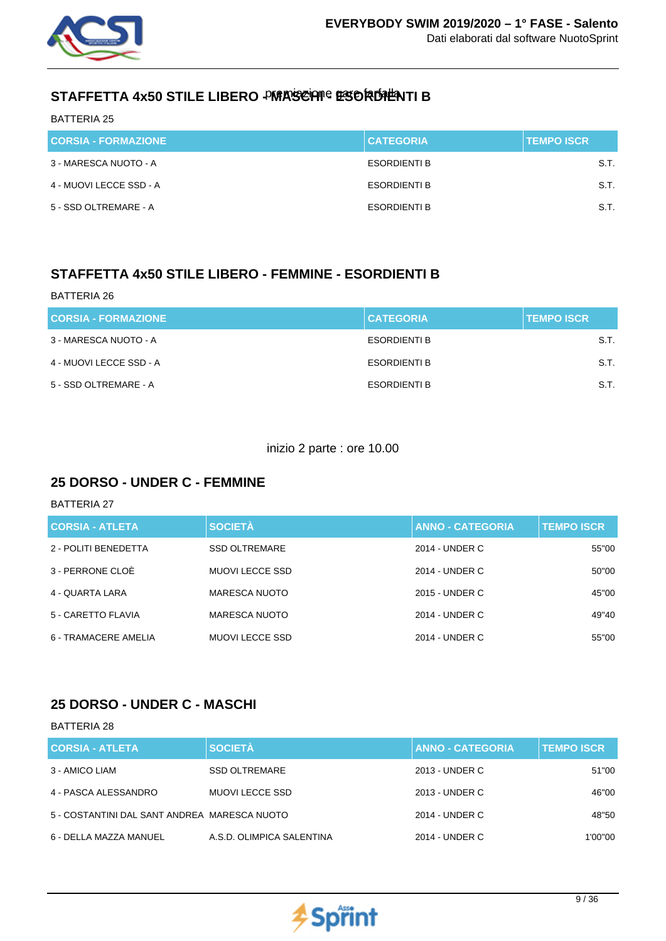

# STAFFETTA 4x50 STILE LIBERO - MARSCHI - ESORDIENTI B

BATTERIA 25

| <b>CORSIA - FORMAZIONE</b> | <b>CATEGORIA</b>    | <b>TEMPO ISCR</b> |
|----------------------------|---------------------|-------------------|
| 3 - MARESCA NUOTO - A      | <b>ESORDIENTI B</b> | S.T.              |
| 4 - MUOVI LECCE SSD - A    | <b>ESORDIENTI B</b> | S.T.              |
| 5 - SSD OLTREMARE - A      | <b>ESORDIENTI B</b> | S.T.              |

# **STAFFETTA 4x50 STILE LIBERO - FEMMINE - ESORDIENTI B**

| BATTERIA 26                |                     |                   |
|----------------------------|---------------------|-------------------|
| <b>CORSIA - FORMAZIONE</b> | <b>CATEGORIA</b>    | <b>TEMPO ISCR</b> |
| 3 - MARESCA NUOTO - A      | <b>ESORDIENTI B</b> | S.T.              |
| 4 - MUOVI LECCE SSD - A    | <b>ESORDIENTI B</b> | S.T.              |
| 5 - SSD OLTREMARE - A      | ESORDIENTI B        | S.T.              |

### inizio 2 parte : ore 10.00

## **25 DORSO - UNDER C - FEMMINE**

BATTERIA 27

| <b>CORSIA - ATLETA</b> | <b>SOCIETÀ</b>       | <b>ANNO - CATEGORIA</b> | <b>TEMPO ISCR</b> |
|------------------------|----------------------|-------------------------|-------------------|
| 2 - POLITI BENEDETTA   | <b>SSD OLTREMARE</b> | 2014 - UNDER C          | 55"00             |
| 3 - PERRONE CLOÈ       | MUOVI LECCE SSD      | 2014 - UNDER C          | 50"00             |
| 4 - QUARTA LARA        | <b>MARESCA NUOTO</b> | 2015 - UNDER C          | 45"00             |
| 5 - CARETTO FLAVIA     | MARESCA NUOTO        | 2014 - UNDER C          | 49"40             |
| 6 - TRAMACERE AMELIA   | MUOVI LECCE SSD      | 2014 - UNDER C          | 55"00             |

## **25 DORSO - UNDER C - MASCHI**

| <b>CORSIA - ATLETA</b>                       | <b>SOCIETÀ</b>            | <b>ANNO - CATEGORIA</b> | <b>TEMPO ISCR</b> |
|----------------------------------------------|---------------------------|-------------------------|-------------------|
| 3 - AMICO LIAM                               | <b>SSD OLTREMARE</b>      | 2013 - UNDER C          | 51"00             |
| 4 - PASCA ALESSANDRO                         | <b>MUOVI LECCE SSD</b>    | 2013 - UNDER C          | 46"00             |
| 5 - COSTANTINI DAL SANT ANDREA MARESCA NUOTO |                           | 2014 - UNDER C          | 48"50             |
| 6 - DELLA MAZZA MANUEL                       | A.S.D. OLIMPICA SALENTINA | 2014 - UNDER C          | 1'00''00          |

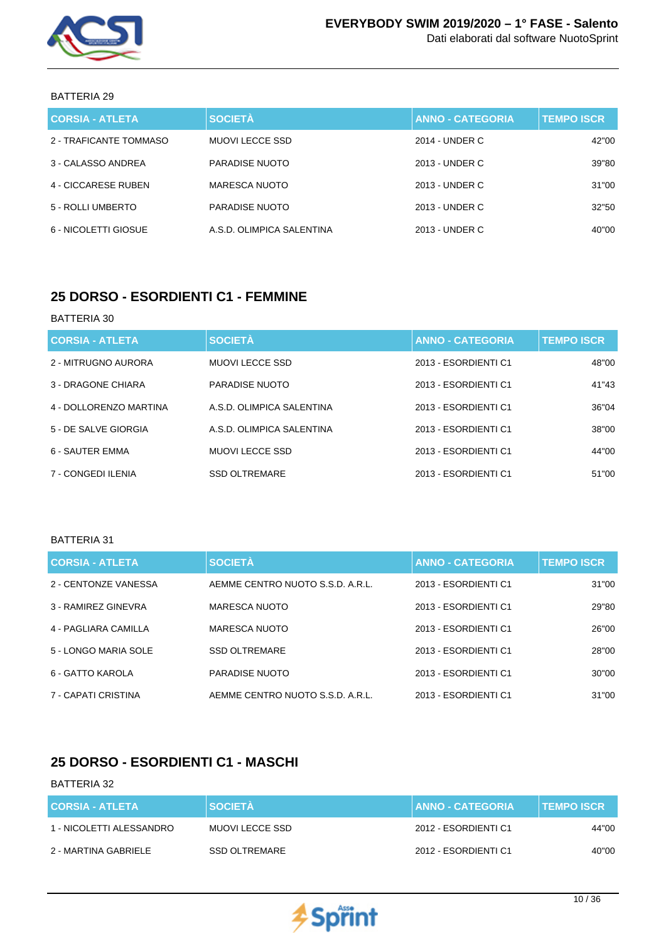

| <b>CORSIA - ATLETA</b> | <b>SOCIETÀ</b>            | <b>ANNO - CATEGORIA</b> | <b>TEMPO ISCR</b> |
|------------------------|---------------------------|-------------------------|-------------------|
| 2 - TRAFICANTE TOMMASO | MUOVI LECCE SSD           | 2014 - UNDER C          | 42"00             |
| 3 - CALASSO ANDREA     | <b>PARADISE NUOTO</b>     | 2013 - UNDER C          | 39"80             |
| 4 - CICCARESE RUBEN    | MARESCA NUOTO             | 2013 - UNDER C          | 31"00             |
| 5 - ROLLI UMBERTO      | PARADISE NUOTO            | 2013 - UNDER C          | 32"50             |
| 6 - NICOLETTI GIOSUE   | A.S.D. OLIMPICA SALENTINA | 2013 - UNDER C          | 40"00             |

## **25 DORSO - ESORDIENTI C1 - FEMMINE**

### BATTERIA 30

| <b>CORSIA - ATLETA</b> | <b>SOCIETÀ</b>            | <b>ANNO - CATEGORIA</b> | <b>TEMPO ISCR</b> |
|------------------------|---------------------------|-------------------------|-------------------|
| 2 - MITRUGNO AURORA    | <b>MUOVILECCE SSD</b>     | 2013 - ESORDIENTI C1    | 48"00             |
| 3 - DRAGONE CHIARA     | PARADISE NUOTO            | 2013 - ESORDIENTI C1    | 41"43             |
| 4 - DOLLORENZO MARTINA | A.S.D. OLIMPICA SALENTINA | 2013 - ESORDIENTI C1    | 36"04             |
| 5 - DE SALVE GIORGIA   | A.S.D. OLIMPICA SALENTINA | 2013 - ESORDIENTI C1    | 38"00             |
| 6 - SAUTER EMMA        | <b>MUOVILECCE SSD</b>     | 2013 - ESORDIENTI C1    | 44"00             |
| 7 - CONGEDI ILENIA     | <b>SSD OLTREMARE</b>      | 2013 - ESORDIENTI C1    | 51"00             |

#### BATTERIA 31

| <b>CORSIA - ATLETA</b> | <b>SOCIETÀ</b>                   | <b>ANNO - CATEGORIA</b> | <b>TEMPO ISCR</b> |
|------------------------|----------------------------------|-------------------------|-------------------|
| 2 - CENTONZE VANESSA   | AEMME CENTRO NUOTO S.S.D. A.R.L. | 2013 - ESORDIENTI C1    | 31"00             |
| 3 - RAMIREZ GINEVRA    | <b>MARESCA NUOTO</b>             | 2013 - ESORDIENTI C1    | 29"80             |
| 4 - PAGLIARA CAMILLA   | <b>MARESCA NUOTO</b>             | 2013 - ESORDIENTI C1    | 26"00             |
| 5 - LONGO MARIA SOLE   | <b>SSD OLTREMARE</b>             | 2013 - ESORDIENTI C1    | 28"00             |
| 6 - GATTO KAROLA       | <b>PARADISE NUOTO</b>            | 2013 - ESORDIENTI C1    | 30"00             |
| 7 - CAPATI CRISTINA    | AEMME CENTRO NUOTO S.S.D. A.R.L. | 2013 - ESORDIENTI C1    | 31"00             |

## **25 DORSO - ESORDIENTI C1 - MASCHI**

| <b>CORSIA - ATLETA</b>   | <b>SOCIETA</b>  | <b>ANNO - CATEGORIA</b> | <b>TEMPO ISCR</b> |
|--------------------------|-----------------|-------------------------|-------------------|
| 1 - NICOLETTI ALESSANDRO | MUOVI LECCE SSD | 2012 - ESORDIENTI C1    | 44"00             |
| 2 - MARTINA GABRIELE     | SSD OLTREMARE   | 2012 - ESORDIENTI C1    | 40"00             |

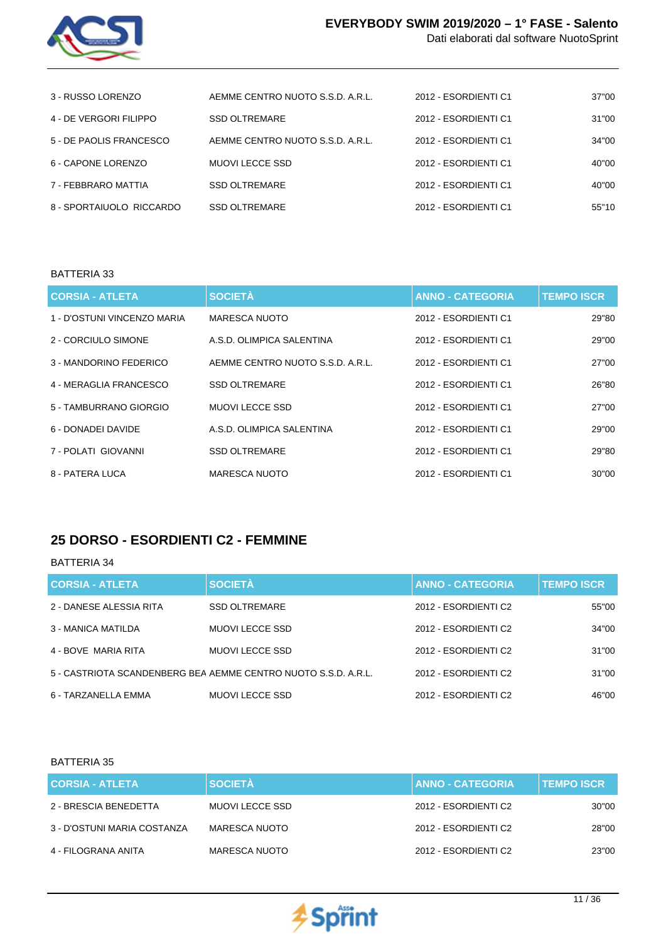

Dati elaborati dal software NuotoSprint

| 3 - RUSSO LORENZO        | AEMME CENTRO NUOTO S.S.D. A.R.L. | 2012 - ESORDIENTI C1 | 37"00 |
|--------------------------|----------------------------------|----------------------|-------|
| 4 - DE VERGORI FILIPPO   | <b>SSD OLTREMARE</b>             | 2012 - ESORDIENTI C1 | 31"00 |
| 5 - DE PAOLIS FRANCESCO  | AEMME CENTRO NUOTO S.S.D. A.R.L. | 2012 - ESORDIENTI C1 | 34"00 |
| 6 - CAPONE LORENZO       | MUOVI LECCE SSD                  | 2012 - ESORDIENTI C1 | 40"00 |
| 7 - FEBBRARO MATTIA      | <b>SSD OLTREMARE</b>             | 2012 - ESORDIENTI C1 | 40"00 |
| 8 - SPORTAIUOLO RICCARDO | <b>SSD OLTREMARE</b>             | 2012 - ESORDIENTI C1 | 55"10 |

### BATTERIA 33

| <b>CORSIA - ATLETA</b>      | <b>SOCIETÀ</b>                   | <b>ANNO - CATEGORIA</b> | <b>TEMPO ISCR</b> |
|-----------------------------|----------------------------------|-------------------------|-------------------|
| 1 - D'OSTUNI VINCENZO MARIA | MARESCA NUOTO                    | 2012 - ESORDIENTI C1    | 29"80             |
| 2 - CORCIULO SIMONE         | A.S.D. OLIMPICA SALENTINA        | 2012 - ESORDIENTI C1    | 29"00             |
| 3 - MANDORINO FEDERICO      | AEMME CENTRO NUOTO S.S.D. A.R.L. | 2012 - ESORDIENTI C1    | 27"00             |
| 4 - MERAGLIA FRANCESCO      | <b>SSD OLTREMARE</b>             | 2012 - ESORDIENTI C1    | 26"80             |
| 5 - TAMBURRANO GIORGIO      | MUOVI LECCE SSD                  | 2012 - ESORDIENTI C1    | 27"00             |
| 6 - DONADEI DAVIDE          | A.S.D. OLIMPICA SALENTINA        | 2012 - ESORDIENTI C1    | 29"00             |
| 7 - POLATI GIOVANNI         | <b>SSD OLTREMARE</b>             | 2012 - ESORDIENTI C1    | 29"80             |
| 8 - PATERA LUCA             | <b>MARESCA NUOTO</b>             | 2012 - ESORDIENTI C1    | 30"00             |

### **25 DORSO - ESORDIENTI C2 - FEMMINE**

### BATTERIA 34

| <b>CORSIA - ATLETA</b>  | <b>SOCIETÀ</b>                                                 | <b>ANNO - CATEGORIA</b> | <b>TEMPO ISCR.</b> |
|-------------------------|----------------------------------------------------------------|-------------------------|--------------------|
| 2 - DANESE ALESSIA RITA | <b>SSD OLTREMARE</b>                                           | 2012 - ESORDIENTI C2    | 55"00              |
| 3 - MANICA MATILDA      | MUOVI LECCE SSD                                                | 2012 - ESORDIENTI C2    | 34"00              |
| 4 - BOVE MARIA RITA     | MUOVI LECCE SSD                                                | 2012 - ESORDIENTI C2    | 31"00              |
|                         | 5 - CASTRIOTA SCANDENBERG BEA AEMME CENTRO NUOTO S.S.D. A.R.L. | 2012 - ESORDIENTI C2    | 31"00              |
| 6 - TARZANELLA EMMA     | MUOVI LECCE SSD                                                | 2012 - ESORDIENTI C2    | 46"00              |

| <b>CORSIA - ATLETA</b>      | <b>SOCIETÀ</b>         | <b>ANNO - CATEGORIA</b> | <b>TEMPO ISCR</b> |
|-----------------------------|------------------------|-------------------------|-------------------|
| 2 - BRESCIA BENEDETTA       | <b>MUOVI LECCE SSD</b> | 2012 - ESORDIENTI C2    | 30"00             |
| 3 - D'OSTUNI MARIA COSTANZA | MARESCA NUOTO          | 2012 - ESORDIENTI C2    | 28"00             |
| 4 - FILOGRANA ANITA         | MARESCA NUOTO          | 2012 - ESORDIENTI C2    | 23"00             |

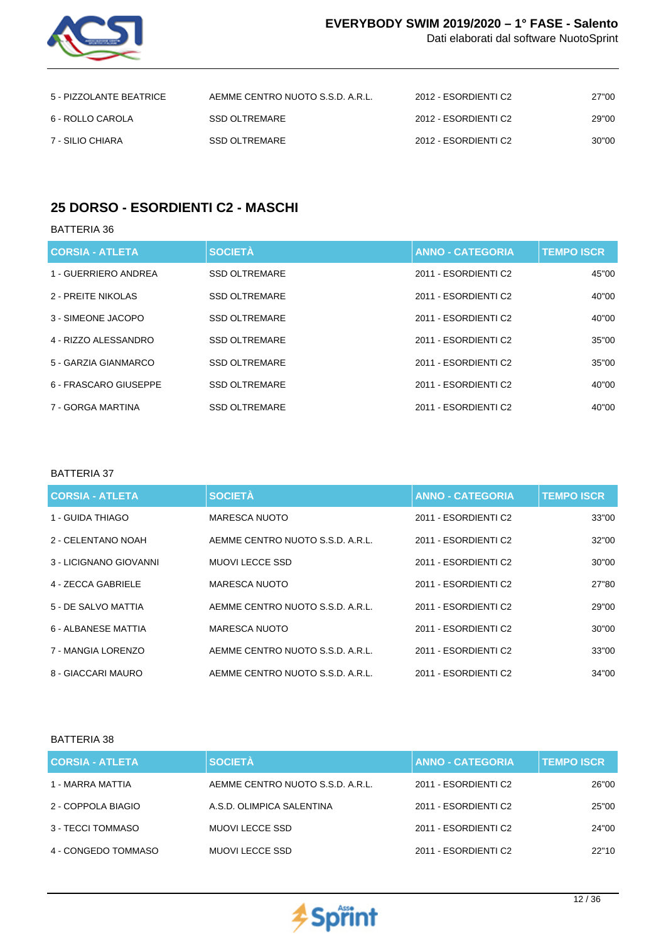

Dati elaborati dal software NuotoSprint

| 5 - PIZZOLANTE BEATRICE | AEMME CENTRO NUOTO S.S.D. A.R.L. | 2012 - ESORDIENTI C2 | 27"00 |
|-------------------------|----------------------------------|----------------------|-------|
| 6 - ROLLO CAROLA        | SSD OLTREMARE                    | 2012 - ESORDIENTI C2 | 29"00 |
| 7 - SILIO CHIARA        | <b>SSD OLTREMARE</b>             | 2012 - ESORDIENTI C2 | 30"00 |

# **25 DORSO - ESORDIENTI C2 - MASCHI**

BATTERIA 36

| <b>CORSIA - ATLETA</b> | <b>SOCIETÀ</b>       | <b>ANNO - CATEGORIA</b> | <b>TEMPO ISCR</b> |
|------------------------|----------------------|-------------------------|-------------------|
| 1 - GUERRIERO ANDREA   | <b>SSD OLTREMARE</b> | 2011 - ESORDIENTI C2    | 45"00             |
| 2 - PREITE NIKOLAS     | <b>SSD OLTREMARE</b> | 2011 - ESORDIENTI C2    | 40"00             |
| 3 - SIMEONE JACOPO     | <b>SSD OLTREMARE</b> | 2011 - ESORDIENTI C2    | 40"00             |
| 4 - RIZZO ALESSANDRO   | <b>SSD OLTREMARE</b> | 2011 - ESORDIENTI C2    | 35"00             |
| 5 - GARZIA GIANMARCO   | <b>SSD OLTREMARE</b> | 2011 - ESORDIENTI C2    | 35"00             |
| 6 - FRASCARO GIUSEPPE  | <b>SSD OLTREMARE</b> | 2011 - ESORDIENTI C2    | 40"00             |
| 7 - GORGA MARTINA      | <b>SSD OLTREMARE</b> | 2011 - ESORDIENTI C2    | 40"00             |

### BATTERIA 37

| <b>CORSIA - ATLETA</b> | <b>SOCIETÀ</b>                   | <b>ANNO - CATEGORIA</b> | <b>TEMPO ISCR</b> |
|------------------------|----------------------------------|-------------------------|-------------------|
| 1 - GUIDA THIAGO       | <b>MARESCA NUOTO</b>             | 2011 - ESORDIENTI C2    | 33"00             |
| 2 - CELENTANO NOAH     | AEMME CENTRO NUOTO S.S.D. A.R.L. | 2011 - ESORDIENTI C2    | 32"00             |
| 3 - LICIGNANO GIOVANNI | <b>MUOVILECCE SSD</b>            | 2011 - ESORDIENTI C2    | 30"00             |
| 4 - ZECCA GABRIELE     | <b>MARESCA NUOTO</b>             | 2011 - ESORDIENTI C2    | 27"80             |
| 5 - DE SALVO MATTIA    | AEMME CENTRO NUOTO S.S.D. A.R.L. | 2011 - ESORDIENTI C2    | 29"00             |
| 6 - ALBANESE MATTIA    | <b>MARESCA NUOTO</b>             | 2011 - ESORDIENTI C2    | 30"00             |
| 7 - MANGIA LORENZO     | AEMME CENTRO NUOTO S.S.D. A.R.L. | 2011 - ESORDIENTI C2    | 33"00             |
| 8 - GIACCARI MAURO     | AEMME CENTRO NUOTO S.S.D. A.R.L. | 2011 - ESORDIENTI C2    | 34"00             |

| <b>CORSIA - ATLETA</b> | <b>SOCIETÀ</b>                   | <b>ANNO - CATEGORIA</b> | <b>TEMPO ISCR</b> |
|------------------------|----------------------------------|-------------------------|-------------------|
| 1 - MARRA MATTIA       | AEMME CENTRO NUOTO S.S.D. A.R.L. | 2011 - ESORDIENTI C2    | 26"00             |
| 2 - COPPOLA BIAGIO     | A.S.D. OLIMPICA SALENTINA        | 2011 - ESORDIENTI C2    | 25"00             |
| 3 - TECCI TOMMASO      | <b>MUOVI LECCE SSD</b>           | 2011 - ESORDIENTI C2    | 24"00             |
| 4 - CONGEDO TOMMASO    | <b>MUOVI LECCE SSD</b>           | 2011 - ESORDIENTI C2    | 22"10             |

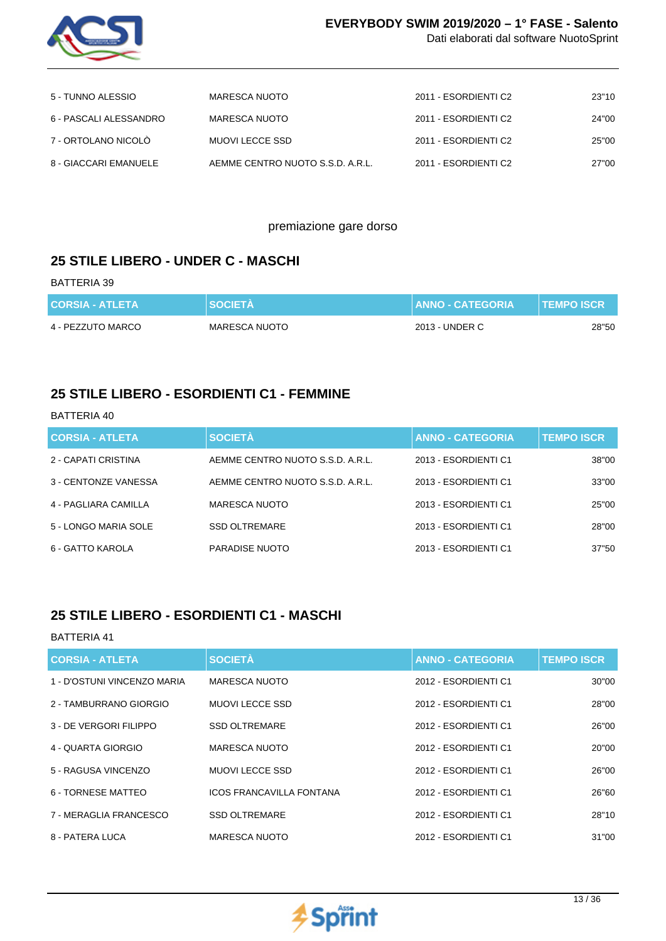

Dati elaborati dal software NuotoSprint

| 5 - TUNNO ALESSIO      | MARESCA NUOTO                    | 2011 - ESORDIENTI C2 | 23"10 |
|------------------------|----------------------------------|----------------------|-------|
| 6 - PASCALI ALESSANDRO | MARESCA NUOTO                    | 2011 - ESORDIENTI C2 | 24"00 |
| 7 - ORTOLANO NICOLO    | MUOVI LECCE SSD                  | 2011 - ESORDIENTI C2 | 25"00 |
| 8 - GIACCARI EMANUELE  | AEMME CENTRO NUOTO S.S.D. A.R.L. | 2011 - ESORDIENTI C2 | 27"00 |

### premiazione gare dorso

### **25 STILE LIBERO - UNDER C - MASCHI**

#### BATTERIA 39

| <b>CORSIA - ATLETA</b> | <b>SOCIETA</b> | <b>ANNO - CATEGORIA</b> | <b>TEMPO ISCR</b> |
|------------------------|----------------|-------------------------|-------------------|
| 4 - PEZZUTO MARCO      | MARESCA NUOTO  | 2013 - UNDER C          | 28"50             |

### **25 STILE LIBERO - ESORDIENTI C1 - FEMMINE**

### BATTERIA 40

| <b>CORSIA - ATLETA</b> | <b>SOCIETÀ</b>                   | <b>ANNO - CATEGORIA</b> | <b>TEMPO ISCR</b> |
|------------------------|----------------------------------|-------------------------|-------------------|
| 2 - CAPATI CRISTINA    | AEMME CENTRO NUOTO S.S.D. A.R.L. | 2013 - ESORDIENTI C1    | 38"00             |
| 3 - CENTONZE VANESSA   | AEMME CENTRO NUOTO S.S.D. A.R.L. | 2013 - ESORDIENTI C1    | 33"00             |
| 4 - PAGLIARA CAMILLA   | <b>MARESCA NUOTO</b>             | 2013 - ESORDIENTI C1    | 25"00             |
| 5 - LONGO MARIA SOLE   | <b>SSD OLTREMARE</b>             | 2013 - ESORDIENTI C1    | 28"00             |
| 6 - GATTO KAROLA       | <b>PARADISE NUOTO</b>            | 2013 - ESORDIENTI C1    | 37"50             |

## **25 STILE LIBERO - ESORDIENTI C1 - MASCHI**

| <b>CORSIA - ATLETA</b>      | <b>SOCIETÀ</b>                  | <b>ANNO - CATEGORIA</b> | <b>TEMPO ISCR</b> |
|-----------------------------|---------------------------------|-------------------------|-------------------|
| 1 - D'OSTUNI VINCENZO MARIA | <b>MARESCA NUOTO</b>            | 2012 - ESORDIENTI C1    | 30"00             |
| 2 - TAMBURRANO GIORGIO      | <b>MUOVILECCE SSD</b>           | 2012 - ESORDIENTI C1    | 28"00             |
| 3 - DE VERGORI FILIPPO      | <b>SSD OLTREMARE</b>            | 2012 - ESORDIENTI C1    | 26"00             |
| 4 - QUARTA GIORGIO          | <b>MARESCA NUOTO</b>            | 2012 - ESORDIENTI C1    | 20"00             |
| 5 - RAGUSA VINCENZO         | <b>MUOVILECCE SSD</b>           | 2012 - ESORDIENTI C1    | 26"00             |
| 6 - TORNESE MATTEO          | <b>ICOS FRANCAVILLA FONTANA</b> | 2012 - ESORDIENTI C1    | 26"60             |
| 7 - MERAGLIA FRANCESCO      | <b>SSD OLTREMARE</b>            | 2012 - ESORDIENTI C1    | 28"10             |
| 8 - PATERA LUCA             | MARESCA NUOTO                   | 2012 - ESORDIENTI C1    | 31"00             |

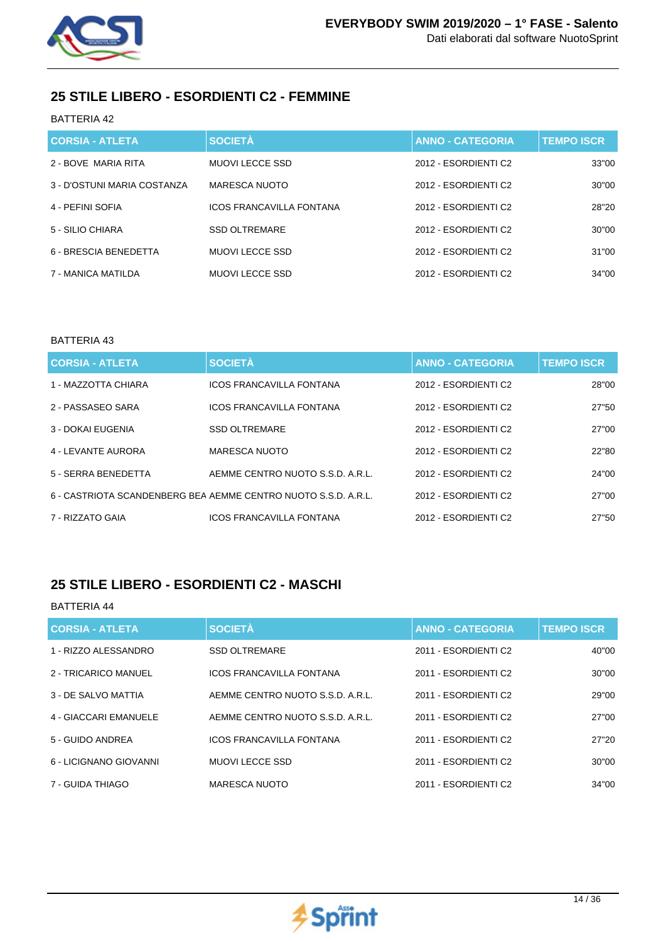

## **25 STILE LIBERO - ESORDIENTI C2 - FEMMINE**

### BATTERIA 42

| <b>CORSIA - ATLETA</b>      | <b>SOCIETÀ</b>                  | <b>ANNO - CATEGORIA</b> | <b>TEMPO ISCR</b> |
|-----------------------------|---------------------------------|-------------------------|-------------------|
| 2 - BOVE MARIA RITA         | <b>MUOVILECCE SSD</b>           | 2012 - ESORDIENTI C2    | 33"00             |
| 3 - D'OSTUNI MARIA COSTANZA | MARESCA NUOTO                   | 2012 - ESORDIENTI C2    | 30"00             |
| 4 - PEFINI SOFIA            | <b>ICOS FRANCAVILLA FONTANA</b> | 2012 - ESORDIENTI C2    | 28"20             |
| 5 - SILIO CHIARA            | <b>SSD OLTREMARE</b>            | 2012 - ESORDIENTI C2    | 30"00             |
| 6 - BRESCIA BENEDETTA       | MUOVI LECCE SSD                 | 2012 - ESORDIENTI C2    | 31"00             |
| 7 - MANICA MATILDA          | MUOVI LECCE SSD                 | 2012 - ESORDIENTI C2    | 34"00             |

### BATTERIA 43

| <b>CORSIA - ATLETA</b> | <b>SOCIETÀ</b>                                                 | <b>ANNO - CATEGORIA</b> | <b>TEMPO ISCR</b> |
|------------------------|----------------------------------------------------------------|-------------------------|-------------------|
| 1 - MAZZOTTA CHIARA    | <b>ICOS FRANCAVILLA FONTANA</b>                                | 2012 - ESORDIENTI C2    | 28"00             |
| 2 - PASSASEO SARA      | <b>ICOS FRANCAVILLA FONTANA</b>                                | 2012 - ESORDIENTI C2    | 27"50             |
| 3 - DOKAI EUGENIA      | <b>SSD OLTREMARE</b>                                           | 2012 - ESORDIENTI C2    | 27"00             |
| 4 - LEVANTE AURORA     | MARESCA NUOTO                                                  | 2012 - ESORDIENTI C2    | 22"80             |
| 5 - SERRA BENEDETTA    | AEMME CENTRO NUOTO S.S.D. A.R.L.                               | 2012 - ESORDIENTI C2    | 24"00             |
|                        | 6 - CASTRIOTA SCANDENBERG BEA AEMME CENTRO NUOTO S.S.D. A.R.L. | 2012 - ESORDIENTI C2    | 27"00             |
| 7 - RIZZATO GAIA       | <b>ICOS FRANCAVILLA FONTANA</b>                                | 2012 - ESORDIENTI C2    | 27"50             |

## **25 STILE LIBERO - ESORDIENTI C2 - MASCHI**

| <b>CORSIA - ATLETA</b> | <b>SOCIETÀ</b>                   | <b>ANNO - CATEGORIA</b> | <b>TEMPO ISCR</b> |
|------------------------|----------------------------------|-------------------------|-------------------|
| 1 - RIZZO ALESSANDRO   | <b>SSD OLTREMARE</b>             | 2011 - ESORDIENTI C2    | 40"00             |
| 2 - TRICARICO MANUEL   | <b>ICOS FRANCAVILLA FONTANA</b>  | 2011 - ESORDIENTI C2    | 30"00             |
| 3 - DE SALVO MATTIA    | AEMME CENTRO NUOTO S.S.D. A.R.L. | 2011 - ESORDIENTI C2    | 29"00             |
| 4 - GIACCARI EMANUELE  | AEMME CENTRO NUOTO S.S.D. A.R.L. | 2011 - ESORDIENTI C2    | 27"00             |
| 5 - GUIDO ANDREA       | <b>ICOS FRANCAVILLA FONTANA</b>  | 2011 - ESORDIENTI C2    | 27"20             |
| 6 - LICIGNANO GIOVANNI | MUOVI LECCE SSD                  | 2011 - ESORDIENTI C2    | 30"00             |
| 7 - GUIDA THIAGO       | <b>MARESCA NUOTO</b>             | 2011 - ESORDIENTI C2    | 34"00             |

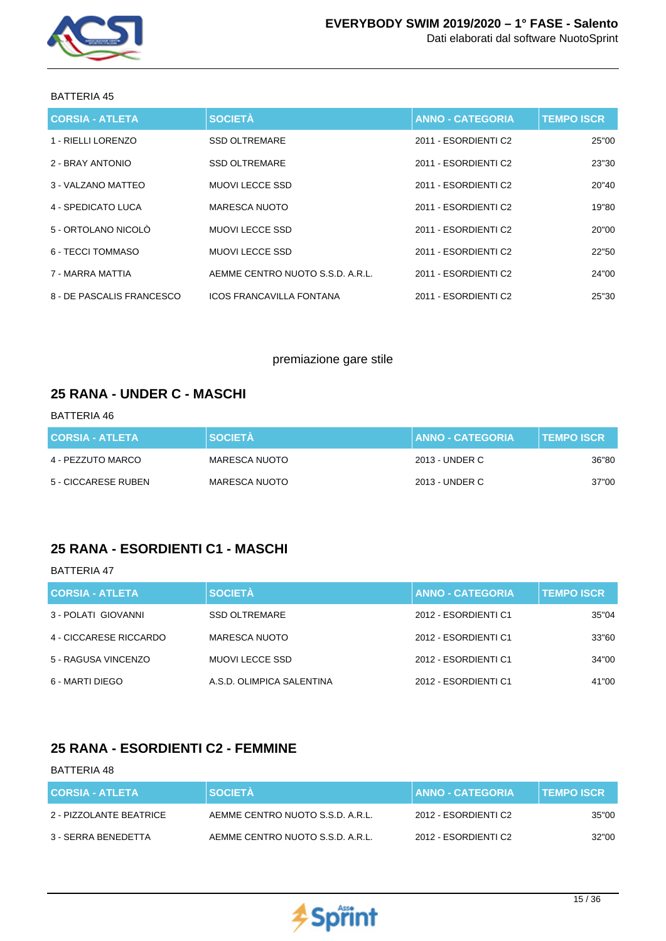

| <b>CORSIA - ATLETA</b>    | <b>SOCIETÀ</b>                   | <b>ANNO - CATEGORIA</b> | <b>TEMPO ISCR</b> |
|---------------------------|----------------------------------|-------------------------|-------------------|
| 1 - RIELLI LORENZO        | <b>SSD OLTREMARE</b>             | 2011 - ESORDIENTI C2    | 25"00             |
| 2 - BRAY ANTONIO          | <b>SSD OLTREMARE</b>             | 2011 - ESORDIENTI C2    | 23"30             |
| 3 - VALZANO MATTEO        | <b>MUOVI LECCE SSD</b>           | 2011 - ESORDIENTI C2    | 20"40             |
| 4 - SPEDICATO LUCA        | <b>MARESCA NUOTO</b>             | 2011 - ESORDIENTI C2    | 19"80             |
| 5 - ORTOLANO NICOLÒ       | <b>MUOVI LECCE SSD</b>           | 2011 - ESORDIENTI C2    | 20"00             |
| 6 - TECCI TOMMASO         | <b>MUOVI LECCE SSD</b>           | 2011 - ESORDIENTI C2    | 22"50             |
| 7 - MARRA MATTIA          | AEMME CENTRO NUOTO S.S.D. A.R.L. | 2011 - ESORDIENTI C2    | 24"00             |
| 8 - DE PASCALIS FRANCESCO | <b>ICOS FRANCAVILLA FONTANA</b>  | 2011 - ESORDIENTI C2    | 25"30             |

### premiazione gare stile

### **25 RANA - UNDER C - MASCHI**

### BATTERIA 46

| <b>CORSIA - ATLETA</b> | <b>SOCIETA</b> | <b>I ANNO - CATEGORIA .</b> | <b>I TEMPO ISCR \</b> |
|------------------------|----------------|-----------------------------|-----------------------|
| 4 - PEZZUTO MARCO      | MARESCA NUOTO  | 2013 - UNDER C              | 36"80                 |
| 5 - CICCARESE RUBEN    | MARESCA NUOTO  | 2013 - UNDER C              | 37"00                 |

## **25 RANA - ESORDIENTI C1 - MASCHI**

#### BATTERIA 47

| <b>CORSIA - ATLETA</b> | <b>SOCIETÀ</b>            | <b>ANNO - CATEGORIA</b> | <b>TEMPO ISCR</b> |
|------------------------|---------------------------|-------------------------|-------------------|
| 3 - POLATI GIOVANNI    | <b>SSD OLTREMARE</b>      | 2012 - ESORDIENTI C1    | 35"04             |
| 4 - CICCARESE RICCARDO | <b>MARESCA NUOTO</b>      | 2012 - ESORDIENTI C1    | 33"60             |
| 5 - RAGUSA VINCENZO    | MUOVI LECCE SSD           | 2012 - ESORDIENTI C1    | 34"00             |
| 6 - MARTI DIEGO        | A.S.D. OLIMPICA SALENTINA | 2012 - ESORDIENTI C1    | 41"00             |

### **25 RANA - ESORDIENTI C2 - FEMMINE**

| <b>CORSIA - ATLETA</b>  | <b>SOCIETA</b>                   | <b>ANNO - CATEGORIA</b> | <b>∣TEMPO ISCR</b> |
|-------------------------|----------------------------------|-------------------------|--------------------|
| 2 - PIZZOLANTE BEATRICE | AEMME CENTRO NUOTO S.S.D. A.R.L. | 2012 - ESORDIENTI C2    | 35"00              |
| 3 - SERRA BENEDETTA     | AEMME CENTRO NUOTO S.S.D. A.R.L. | 2012 - ESORDIENTI C2    | 32"00              |

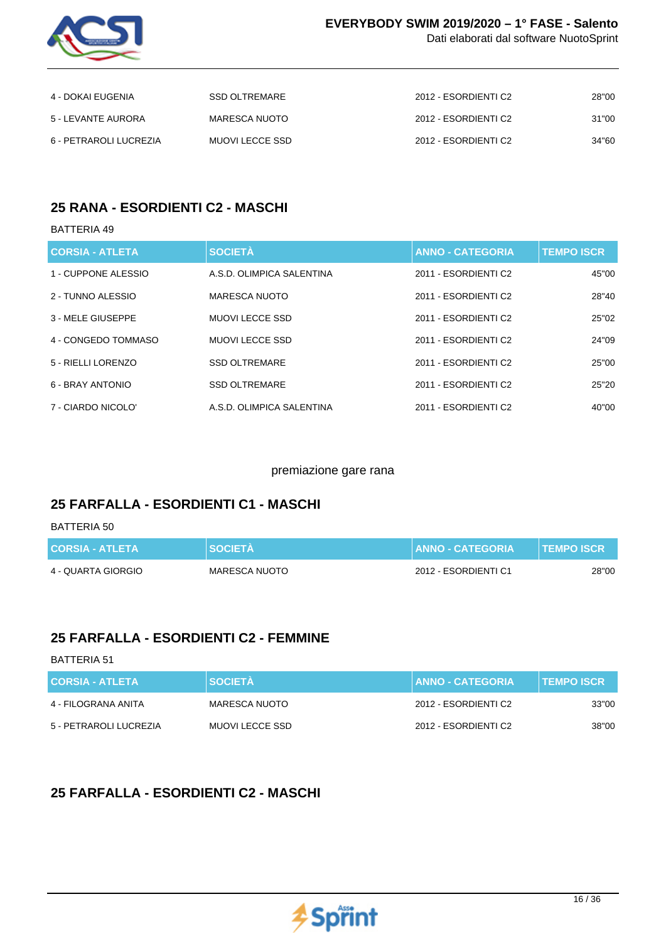

Dati elaborati dal software NuotoSprint

| 4 - DOKAI EUGENIA      | SSD OLTREMARE   | 2012 - ESORDIENTI C2 | 28"00 |
|------------------------|-----------------|----------------------|-------|
| 5 - LEVANTE AURORA     | MARESCA NUOTO   | 2012 - ESORDIENTI C2 | 31"00 |
| 6 - PETRAROLI LUCREZIA | MUOVI LECCE SSD | 2012 - ESORDIENTI C2 | 34"60 |

## **25 RANA - ESORDIENTI C2 - MASCHI**

### BATTERIA 49

| <b>CORSIA - ATLETA</b> | <b>SOCIETÀ</b>            | <b>ANNO - CATEGORIA</b> | <b>TEMPO ISCR</b> |
|------------------------|---------------------------|-------------------------|-------------------|
| 1 - CUPPONE ALESSIO    | A.S.D. OLIMPICA SALENTINA | 2011 - ESORDIENTI C2    | 45"00             |
| 2 - TUNNO ALESSIO      | <b>MARESCA NUOTO</b>      | 2011 - ESORDIENTI C2    | 28"40             |
| 3 - MELE GIUSEPPE      | <b>MUOVILECCE SSD</b>     | 2011 - ESORDIENTI C2    | 25"02             |
| 4 - CONGEDO TOMMASO    | <b>MUOVILECCE SSD</b>     | 2011 - ESORDIENTI C2    | 24"09             |
| 5 - RIELLI LORENZO     | <b>SSD OLTREMARE</b>      | 2011 - ESORDIENTI C2    | 25"00             |
| 6 - BRAY ANTONIO       | <b>SSD OLTREMARE</b>      | 2011 - ESORDIENTI C2    | 25"20             |
| 7 - CIARDO NICOLO'     | A.S.D. OLIMPICA SALENTINA | 2011 - ESORDIENTI C2    | 40"00             |

### premiazione gare rana

## **25 FARFALLA - ESORDIENTI C1 - MASCHI**

#### BATTERIA 50

| <b>CORSIA - ATLETA</b> | <b>SOCIETA</b> | <b>I ANNO - CATEGORIA \</b> | <b>TEMPO ISCR</b> |
|------------------------|----------------|-----------------------------|-------------------|
| 4 - QUARTA GIORGIO     | MARESCA NUOTO  | 2012 - ESORDIENTI C1        | 28"00             |

## **25 FARFALLA - ESORDIENTI C2 - FEMMINE**

#### BATTERIA 51

| <b>CORSIA - ATLETA</b> | <b>SOCIETA</b>  | <b>ANNO - CATEGORIA</b> | <b>TEMPO ISCR</b> |
|------------------------|-----------------|-------------------------|-------------------|
| 4 - FILOGRANA ANITA    | MARESCA NUOTO   | 2012 - ESORDIENTI C2    | 33"00             |
| 5 - PETRAROLI LUCREZIA | MUOVI LECCE SSD | 2012 - ESORDIENTI C2    | 38"00             |

## **25 FARFALLA - ESORDIENTI C2 - MASCHI**

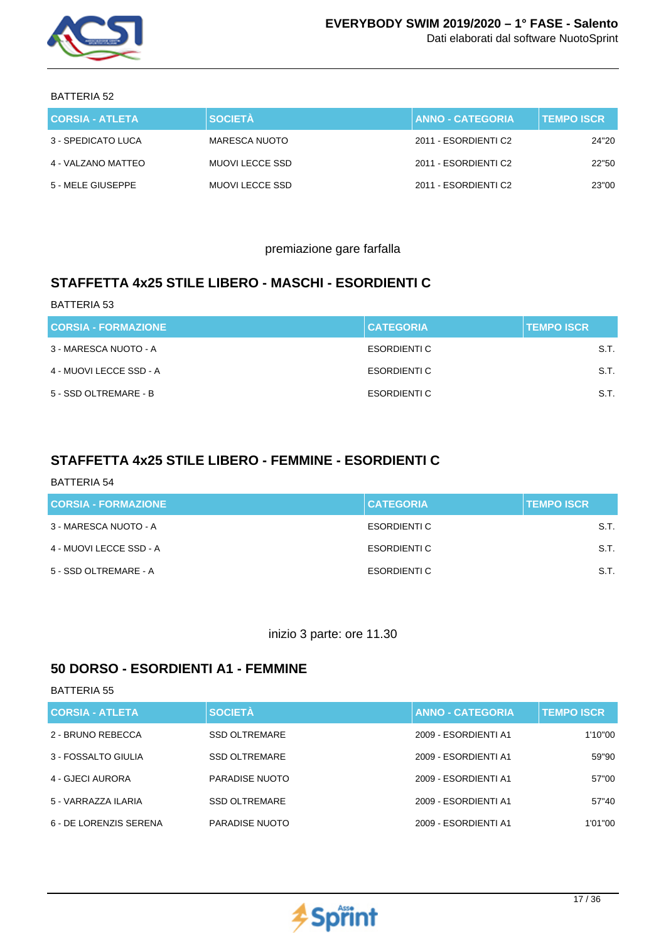

| <b>CORSIA - ATLETA</b> | <b>SOCIETÀ</b>  | <b>ANNO - CATEGORIA</b> | <b>TEMPO ISCR</b> |
|------------------------|-----------------|-------------------------|-------------------|
| 3 - SPEDICATO LUCA     | MARESCA NUOTO   | 2011 - ESORDIENTI C2    | 24"20             |
| 4 - VALZANO MATTEO     | MUOVI LECCE SSD | 2011 - ESORDIENTI C2    | 22"50             |
| 5 - MELE GIUSEPPE      | MUOVI LECCE SSD | 2011 - ESORDIENTI C2    | 23"00             |

premiazione gare farfalla

# **STAFFETTA 4x25 STILE LIBERO - MASCHI - ESORDIENTI C**

| <b>BATTERIA 53</b>         |                  |                   |
|----------------------------|------------------|-------------------|
| <b>CORSIA - FORMAZIONE</b> | <b>CATEGORIA</b> | <b>TEMPO ISCR</b> |
| 3 - MARESCA NUOTO - A      | ESORDIENTI C     | S.T.              |
| 4 - MUOVI LECCE SSD - A    | ESORDIENTI C     | S.T.              |
| 5 - SSD OLTREMARE - B      | ESORDIENTI C     | S.T.              |

## **STAFFETTA 4x25 STILE LIBERO - FEMMINE - ESORDIENTI C**

### BATTERIA 54

| <b>CORSIA - FORMAZIONE</b> | <b>CATEGORIA</b> | <b>TEMPO ISCR</b> |
|----------------------------|------------------|-------------------|
| 3 - MARESCA NUOTO - A      | ESORDIENTI C     | S.T.              |
| 4 - MUOVI LECCE SSD - A    | ESORDIENTI C     | S.T.              |
| 5 - SSD OLTREMARE - A      | ESORDIENTI C     | S.T.              |

### inizio 3 parte: ore 11.30

## **50 DORSO - ESORDIENTI A1 - FEMMINE**

| <b>CORSIA - ATLETA</b> | <b>SOCIETÀ</b>       | <b>ANNO - CATEGORIA</b> | <b>TEMPO ISCR</b> |
|------------------------|----------------------|-------------------------|-------------------|
| 2 - BRUNO REBECCA      | <b>SSD OLTREMARE</b> | 2009 - ESORDIENTI A1    | 1'10"00           |
| 3 - FOSSALTO GIULIA    | <b>SSD OLTREMARE</b> | 2009 - ESORDIENTI A1    | 59"90             |
| 4 - GJECI AURORA       | PARADISE NUOTO       | 2009 - ESORDIENTI A1    | 57"00             |
| 5 - VARRAZZA ILARIA    | <b>SSD OLTREMARE</b> | 2009 - ESORDIENTI A1    | 57"40             |
| 6 - DE LORENZIS SERENA | PARADISE NUOTO       | 2009 - ESORDIENTI A1    | 1'01''00          |

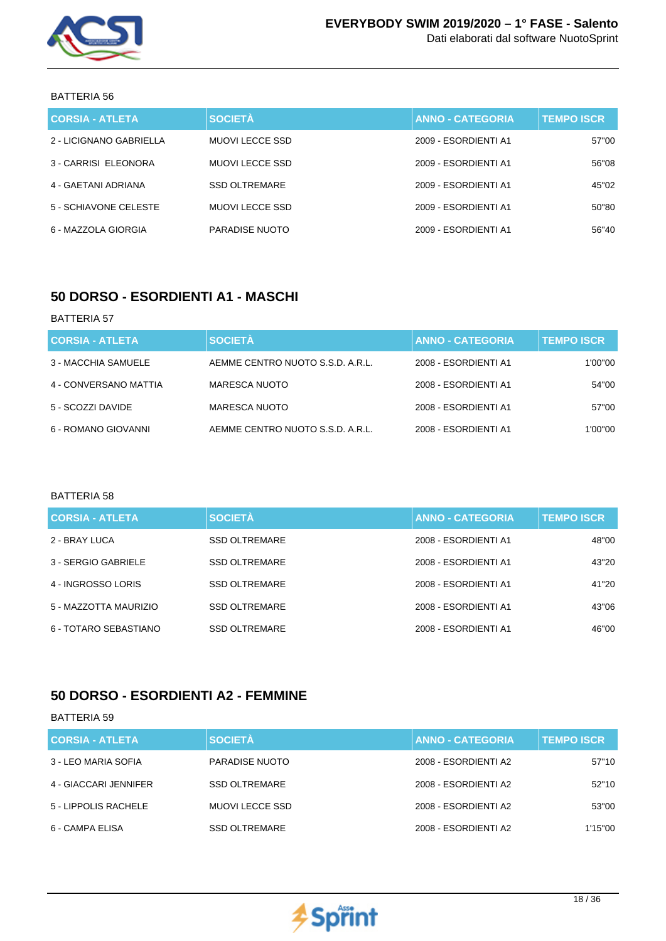

| <b>CORSIA - ATLETA</b>  | <b>SOCIETÀ</b>         | <b>ANNO - CATEGORIA</b> | <b>TEMPO ISCR.</b> |
|-------------------------|------------------------|-------------------------|--------------------|
| 2 - LICIGNANO GABRIELLA | MUOVI LECCE SSD        | 2009 - ESORDIENTI A1    | 57"00              |
| 3 - CARRISI ELEONORA    | <b>MUOVI LECCE SSD</b> | 2009 - ESORDIENTI A1    | 56"08              |
| 4 - GAETANI ADRIANA     | <b>SSD OLTREMARE</b>   | 2009 - ESORDIENTI A1    | 45"02              |
| 5 - SCHIAVONE CELESTE   | MUOVI LECCE SSD        | 2009 - ESORDIENTI A1    | 50"80              |
| 6 - MAZZOLA GIORGIA     | <b>PARADISE NUOTO</b>  | 2009 - ESORDIENTI A1    | 56"40              |

### **50 DORSO - ESORDIENTI A1 - MASCHI**

#### BATTERIA 57

| <b>CORSIA - ATLETA</b> | <b>SOCIETÀ</b>                   | <b>ANNO - CATEGORIA</b> | <b>TEMPO ISCR</b> |
|------------------------|----------------------------------|-------------------------|-------------------|
| 3 - MACCHIA SAMUELE    | AEMME CENTRO NUOTO S.S.D. A.R.L. | 2008 - ESORDIENTI A1    | 1'00"00           |
| 4 - CONVERSANO MATTIA  | MARESCA NUOTO                    | 2008 - ESORDIENTI A1    | 54"00             |
| 5 - SCOZZI DAVIDE      | MARESCA NUOTO                    | 2008 - ESORDIENTI A1    | 57"00             |
| 6 - ROMANO GIOVANNI    | AEMME CENTRO NUOTO S.S.D. A.R.L. | 2008 - ESORDIENTI A1    | 1'00"00           |

#### BATTERIA 58

| <b>CORSIA - ATLETA</b> | <b>SOCIETÀ</b>       | <b>ANNO - CATEGORIA</b> | <b>TEMPO ISCR.</b> |
|------------------------|----------------------|-------------------------|--------------------|
| 2 - BRAY LUCA          | <b>SSD OLTREMARE</b> | 2008 - ESORDIENTI A1    | 48"00              |
| 3 - SERGIO GABRIELE    | <b>SSD OLTREMARE</b> | 2008 - ESORDIENTI A1    | 43"20              |
| 4 - INGROSSO LORIS     | <b>SSD OLTREMARE</b> | 2008 - ESORDIENTI A1    | 41"20              |
| 5 - MAZZOTTA MAURIZIO  | <b>SSD OLTREMARE</b> | 2008 - ESORDIENTI A1    | 43"06              |
| 6 - TOTARO SEBASTIANO  | <b>SSD OLTREMARE</b> | 2008 - ESORDIENTI A1    | 46"00              |

## **50 DORSO - ESORDIENTI A2 - FEMMINE**

| <b>CORSIA - ATLETA</b> | <b>SOCIETÀ</b>       | <b>ANNO - CATEGORIA</b> | <b>TEMPO ISCR</b> |
|------------------------|----------------------|-------------------------|-------------------|
| 3 - LEO MARIA SOFIA    | PARADISE NUOTO       | 2008 - ESORDIENTI A2    | 57"10             |
| 4 - GIACCARI JENNIFER  | <b>SSD OLTREMARE</b> | 2008 - ESORDIENTI A2    | 52"10             |
| 5 - LIPPOLIS RACHELE   | MUOVI LECCE SSD      | 2008 - ESORDIENTI A2    | 53"00             |
| 6 - CAMPA ELISA        | <b>SSD OLTREMARE</b> | 2008 - ESORDIENTI A2    | 1'15"00           |

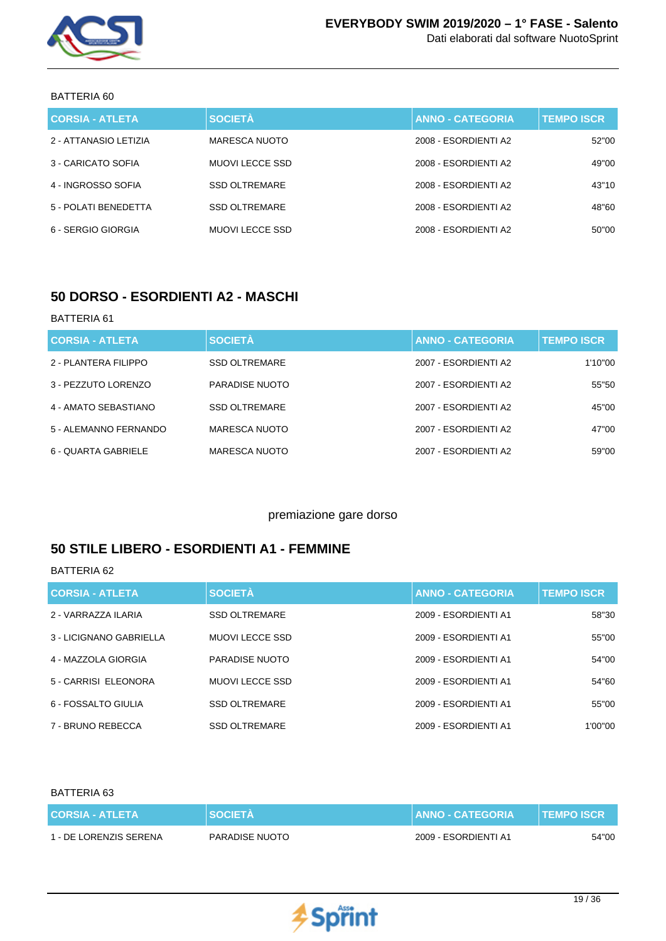

| <b>CORSIA - ATLETA</b> | <b>SOCIETÀ</b>       | <b>ANNO - CATEGORIA</b> | <b>TEMPO ISCR</b> |
|------------------------|----------------------|-------------------------|-------------------|
| 2 - ATTANASIO LETIZIA  | MARESCA NUOTO        | 2008 - ESORDIENTI A2    | 52"00             |
| 3 - CARICATO SOFIA     | MUOVI LECCE SSD      | 2008 - ESORDIENTI A2    | 49"00             |
| 4 - INGROSSO SOFIA     | <b>SSD OLTREMARE</b> | 2008 - ESORDIENTI A2    | 43"10             |
| 5 - POLATI BENEDETTA   | <b>SSD OLTREMARE</b> | 2008 - ESORDIENTI A2    | 48"60             |
| 6 - SERGIO GIORGIA     | MUOVI LECCE SSD      | 2008 - ESORDIENTI A2    | 50"00             |

### **50 DORSO - ESORDIENTI A2 - MASCHI**

### BATTERIA 61

| <b>CORSIA - ATLETA</b> | <b>SOCIETÀ</b>       | <b>ANNO - CATEGORIA</b> | <b>TEMPO ISCR</b> |
|------------------------|----------------------|-------------------------|-------------------|
| 2 - PLANTERA FILIPPO   | <b>SSD OLTREMARE</b> | 2007 - ESORDIENTI A2    | 1'10"00           |
| 3 - PEZZUTO LORENZO    | PARADISE NUOTO       | 2007 - ESORDIENTI A2    | 55"50             |
| 4 - AMATO SEBASTIANO   | <b>SSD OLTREMARE</b> | 2007 - FSORDIENTI A2    | 45"00             |
| 5 - ALEMANNO FERNANDO  | MARESCA NUOTO        | 2007 - ESORDIENTI A2    | 47"00             |
| 6 - QUARTA GABRIELE    | <b>MARESCA NUOTO</b> | 2007 - ESORDIENTI A2    | 59"00             |

### premiazione gare dorso

### **50 STILE LIBERO - ESORDIENTI A1 - FEMMINE**

### BATTERIA 62

| <b>CORSIA - ATLETA</b>  | <b>SOCIETÀ</b>        | <b>ANNO - CATEGORIA</b> | <b>TEMPO ISCR</b> |
|-------------------------|-----------------------|-------------------------|-------------------|
| 2 - VARRAZZA ILARIA     | <b>SSD OLTREMARE</b>  | 2009 - ESORDIENTI A1    | 58"30             |
| 3 - LICIGNANO GABRIELLA | <b>MUOVILECCE SSD</b> | 2009 - ESORDIENTI A1    | 55"00             |
| 4 - MAZZOLA GIORGIA     | PARADISE NUOTO        | 2009 - ESORDIENTI A1    | 54"00             |
| 5 - CARRISI ELEONORA    | <b>MUOVILECCE SSD</b> | 2009 - ESORDIENTI A1    | 54"60             |
| 6 - FOSSALTO GIULIA     | <b>SSD OLTREMARE</b>  | 2009 - ESORDIENTI A1    | 55"00             |
| 7 - BRUNO REBECCA       | <b>SSD OLTREMARE</b>  | 2009 - ESORDIENTI A1    | 1'00"00           |

| CORSIA - ATLETA        | SOCIETA        | <b>ANNO - CATEGORIA</b> | N TEMPO ISCR \ |
|------------------------|----------------|-------------------------|----------------|
| 1 - DE LORENZIS SERENA | PARADISE NUOTO | 2009 - ESORDIENTI A1    | 54"00          |

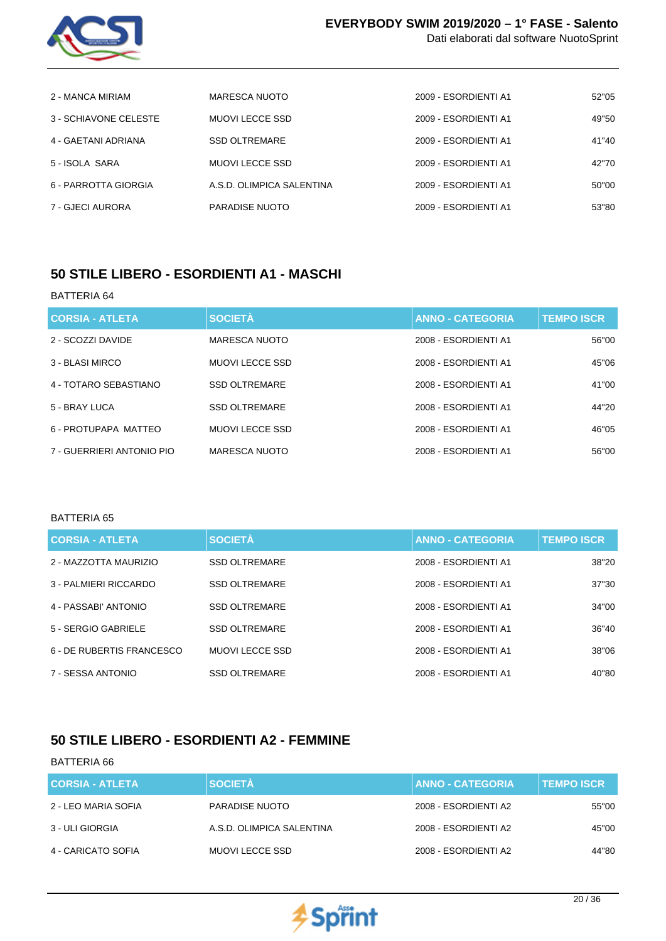

| Dati elaborati dal software NuotoSprint |  |
|-----------------------------------------|--|
|-----------------------------------------|--|

| 2 - MANCA MIRIAM      | MARESCA NUOTO             | 2009 - ESORDIENTI A1 | 52"05 |
|-----------------------|---------------------------|----------------------|-------|
| 3 - SCHIAVONE CELESTE | MUOVI LECCE SSD           | 2009 - ESORDIENTI A1 | 49"50 |
| 4 - GAETANI ADRIANA   | <b>SSD OLTREMARE</b>      | 2009 - ESORDIENTI A1 | 41"40 |
| 5 - ISOLA SARA        | MUOVI LECCE SSD           | 2009 - ESORDIENTI A1 | 42"70 |
| 6 - PARROTTA GIORGIA  | A.S.D. OLIMPICA SALENTINA | 2009 - ESORDIENTI A1 | 50"00 |
| 7 - GJECI AURORA      | PARADISE NUOTO            | 2009 - ESORDIENTI A1 | 53"80 |

### **50 STILE LIBERO - ESORDIENTI A1 - MASCHI**

#### BATTERIA 64

| <b>CORSIA - ATLETA</b>    | <b>SOCIETÀ</b>        | <b>ANNO - CATEGORIA</b> | <b>TEMPO ISCR</b> |
|---------------------------|-----------------------|-------------------------|-------------------|
| 2 - SCOZZI DAVIDE         | <b>MARESCA NUOTO</b>  | 2008 - ESORDIENTI A1    | 56"00             |
| 3 - BLASI MIRCO           | MUOVI LECCE SSD       | 2008 - ESORDIENTI A1    | 45"06             |
| 4 - TOTARO SEBASTIANO     | <b>SSD OLTREMARE</b>  | 2008 - ESORDIENTI A1    | 41"00             |
| 5 - BRAY LUCA             | <b>SSD OLTREMARE</b>  | 2008 - ESORDIENTI A1    | 44"20             |
| 6 - PROTUPAPA MATTEO      | <b>MUOVILECCE SSD</b> | 2008 - ESORDIENTI A1    | 46"05             |
| 7 - GUERRIERI ANTONIO PIO | MARESCA NUOTO         | 2008 - ESORDIENTI A1    | 56"00             |
|                           |                       |                         |                   |

#### BATTERIA 65

| <b>CORSIA - ATLETA</b>    | <b>SOCIETÀ</b>        | <b>ANNO - CATEGORIA</b> | <b>TEMPO ISCR</b> |
|---------------------------|-----------------------|-------------------------|-------------------|
| 2 - MAZZOTTA MAURIZIO     | <b>SSD OLTREMARE</b>  | 2008 - ESORDIENTI A1    | 38"20             |
| 3 - PALMIERI RICCARDO     | <b>SSD OLTREMARE</b>  | 2008 - ESORDIENTI A1    | 37"30             |
| 4 - PASSABI' ANTONIO      | <b>SSD OLTREMARE</b>  | 2008 - ESORDIENTI A1    | 34"00             |
| 5 - SERGIO GABRIELE       | <b>SSD OLTREMARE</b>  | 2008 - ESORDIENTI A1    | 36"40             |
| 6 - DE RUBERTIS FRANCESCO | <b>MUOVILECCE SSD</b> | 2008 - ESORDIENTI A1    | 38"06             |
| 7 - SESSA ANTONIO         | <b>SSD OLTREMARE</b>  | 2008 - ESORDIENTI A1    | 40"80             |

## **50 STILE LIBERO - ESORDIENTI A2 - FEMMINE**

| <b>CORSIA - ATLETA</b> | <b>SOCIETÀ</b>            | <b>ANNO - CATEGORIA</b> | <b>TEMPO ISCR</b> |
|------------------------|---------------------------|-------------------------|-------------------|
| 2 - LEO MARIA SOFIA    | PARADISE NUOTO            | 2008 - ESORDIENTI A2    | 55"00             |
| 3 - ULI GIORGIA        | A.S.D. OLIMPICA SALENTINA | 2008 - ESORDIENTI A2    | 45"00             |
| 4 - CARICATO SOFIA     | MUOVI LECCE SSD           | 2008 - ESORDIENTI A2    | 44"80             |

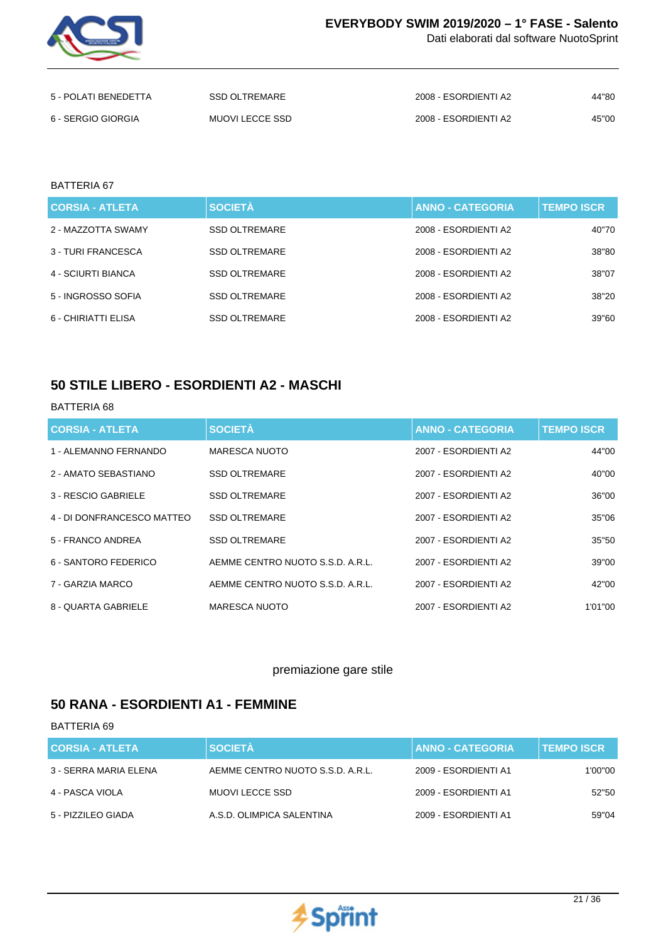

Dati elaborati dal software NuotoSprint

| 5 - POLATI BENEDETTA | SSD OLTREMARE   | 2008 - ESORDIENTI A2 | 44"80 |
|----------------------|-----------------|----------------------|-------|
| 6 - SERGIO GIORGIA   | MUOVI LECCE SSD | 2008 - ESORDIENTI A2 | 45"00 |

#### BATTERIA 67

| <b>CORSIA - ATLETA</b> | <b>SOCIETÀ</b>       | <b>ANNO - CATEGORIA</b> | <b>TEMPO ISCR</b> |
|------------------------|----------------------|-------------------------|-------------------|
| 2 - MAZZOTTA SWAMY     | <b>SSD OLTREMARE</b> | 2008 - ESORDIENTI A2    | 40"70             |
| 3 - TURI FRANCESCA     | <b>SSD OLTREMARE</b> | 2008 - ESORDIENTI A2    | 38"80             |
| 4 - SCIURTI BIANCA     | <b>SSD OLTREMARE</b> | 2008 - ESORDIENTI A2    | 38"07             |
| 5 - INGROSSO SOFIA     | <b>SSD OLTREMARE</b> | 2008 - ESORDIENTI A2    | 38"20             |
| 6 - CHIRIATTI ELISA    | <b>SSD OLTREMARE</b> | 2008 - ESORDIENTI A2    | 39"60             |

### **50 STILE LIBERO - ESORDIENTI A2 - MASCHI**

#### BATTERIA 68

| <b>CORSIA - ATLETA</b>     | <b>SOCIETÀ</b>                   | <b>ANNO - CATEGORIA</b> | <b>TEMPO ISCR</b> |
|----------------------------|----------------------------------|-------------------------|-------------------|
| 1 - ALEMANNO FERNANDO      | <b>MARESCA NUOTO</b>             | 2007 - ESORDIENTI A2    | 44"00             |
| 2 - AMATO SEBASTIANO       | <b>SSD OLTREMARE</b>             | 2007 - ESORDIENTI A2    | 40"00             |
| 3 - RESCIO GABRIELE        | <b>SSD OLTREMARE</b>             | 2007 - ESORDIENTI A2    | 36"00             |
| 4 - DI DONFRANCESCO MATTEO | <b>SSD OLTREMARE</b>             | 2007 - ESORDIENTI A2    | 35"06             |
| 5 - FRANCO ANDREA          | <b>SSD OLTREMARE</b>             | 2007 - ESORDIENTI A2    | 35"50             |
| 6 - SANTORO FEDERICO       | AEMME CENTRO NUOTO S.S.D. A.R.L. | 2007 - ESORDIENTI A2    | 39"00             |
| 7 - GARZIA MARCO           | AEMME CENTRO NUOTO S.S.D. A.R.L. | 2007 - ESORDIENTI A2    | 42"00             |
| 8 - QUARTA GABRIELE        | MARESCA NUOTO                    | 2007 - ESORDIENTI A2    | 1'01"00           |

### premiazione gare stile

## **50 RANA - ESORDIENTI A1 - FEMMINE**

| <b>CORSIA - ATLETA</b> | <b>SOCIETÀ</b>                   | <b>I ANNO - CATEGORIA .</b> | <b>TEMPO ISCR</b> |
|------------------------|----------------------------------|-----------------------------|-------------------|
| 3 - SERRA MARIA ELENA  | AEMME CENTRO NUOTO S.S.D. A.R.L. | 2009 - ESORDIENTI A1        | 1'00"00           |
| 4 - PASCA VIOLA        | MUOVI LECCE SSD                  | 2009 - ESORDIENTI A1        | 52"50             |
| 5 - PIZZILEO GIADA     | A.S.D. OLIMPICA SALENTINA        | 2009 - ESORDIENTI A1        | 59"04             |

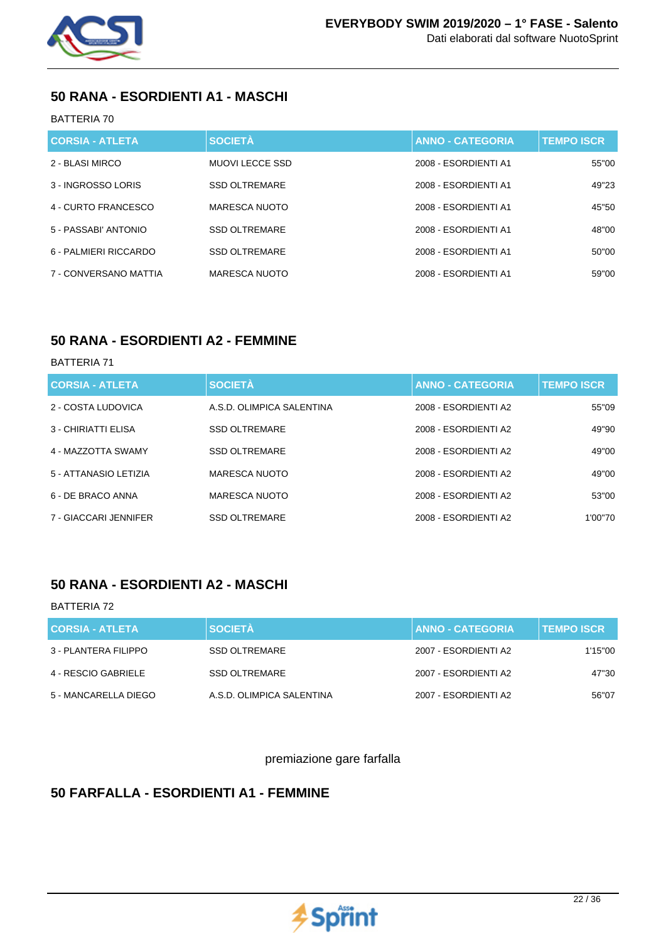

## **50 RANA - ESORDIENTI A1 - MASCHI**

### BATTERIA 70

| <b>CORSIA - ATLETA</b> | <b>SOCIETÀ</b>       | <b>ANNO - CATEGORIA</b> | <b>TEMPO ISCR.</b> |
|------------------------|----------------------|-------------------------|--------------------|
| 2 - BLASI MIRCO        | MUOVI LECCE SSD      | 2008 - ESORDIENTI A1    | 55"00              |
| 3 - INGROSSO LORIS     | <b>SSD OLTREMARE</b> | 2008 - ESORDIENTI A1    | 49"23              |
| 4 - CURTO FRANCESCO    | MARESCA NUOTO        | 2008 - ESORDIENTI A1    | 45"50              |
| 5 - PASSABI' ANTONIO   | <b>SSD OLTREMARE</b> | 2008 - ESORDIENTI A1    | 48"00              |
| 6 - PALMIERI RICCARDO  | <b>SSD OLTREMARE</b> | 2008 - ESORDIENTI A1    | 50"00              |
| 7 - CONVERSANO MATTIA  | MARESCA NUOTO        | 2008 - ESORDIENTI A1    | 59"00              |

### **50 RANA - ESORDIENTI A2 - FEMMINE**

### BATTERIA 71

| <b>CORSIA - ATLETA</b> | <b>SOCIETÀ</b>            | <b>ANNO - CATEGORIA</b> | <b>TEMPO ISCR</b> |
|------------------------|---------------------------|-------------------------|-------------------|
| 2 - COSTA LUDOVICA     | A.S.D. OLIMPICA SALENTINA | 2008 - ESORDIENTI A2    | 55"09             |
| 3 - CHIRIATTI ELISA    | <b>SSD OLTREMARE</b>      | 2008 - ESORDIENTI A2    | 49"90             |
| 4 - MAZZOTTA SWAMY     | <b>SSD OLTREMARE</b>      | 2008 - ESORDIENTI A2    | 49"00             |
| 5 - ATTANASIO LETIZIA  | MARESCA NUOTO             | 2008 - ESORDIENTI A2    | 49"00             |
| 6 - DE BRACO ANNA      | <b>MARESCA NUOTO</b>      | 2008 - ESORDIENTI A2    | 53"00             |
| 7 - GIACCARI JENNIFER  | <b>SSD OLTREMARE</b>      | 2008 - ESORDIENTI A2    | 1'00"70           |

## **50 RANA - ESORDIENTI A2 - MASCHI**

### BATTERIA 72

| <b>CORSIA - ATLETA</b> | <b>SOCIETÀ</b>            | <b>ANNO - CATEGORIA</b> | <b>TEMPO ISCR</b> |
|------------------------|---------------------------|-------------------------|-------------------|
| 3 - PLANTERA FILIPPO   | SSD OLTREMARE             | 2007 - ESORDIENTI A2    | 1'15"00           |
| 4 - RESCIO GABRIELE    | <b>SSD OLTREMARE</b>      | 2007 - ESORDIENTI A2    | 47"30             |
| 5 - MANCARELLA DIEGO   | A.S.D. OLIMPICA SALENTINA | 2007 - ESORDIENTI A2    | 56"07             |

premiazione gare farfalla

# **50 FARFALLA - ESORDIENTI A1 - FEMMINE**

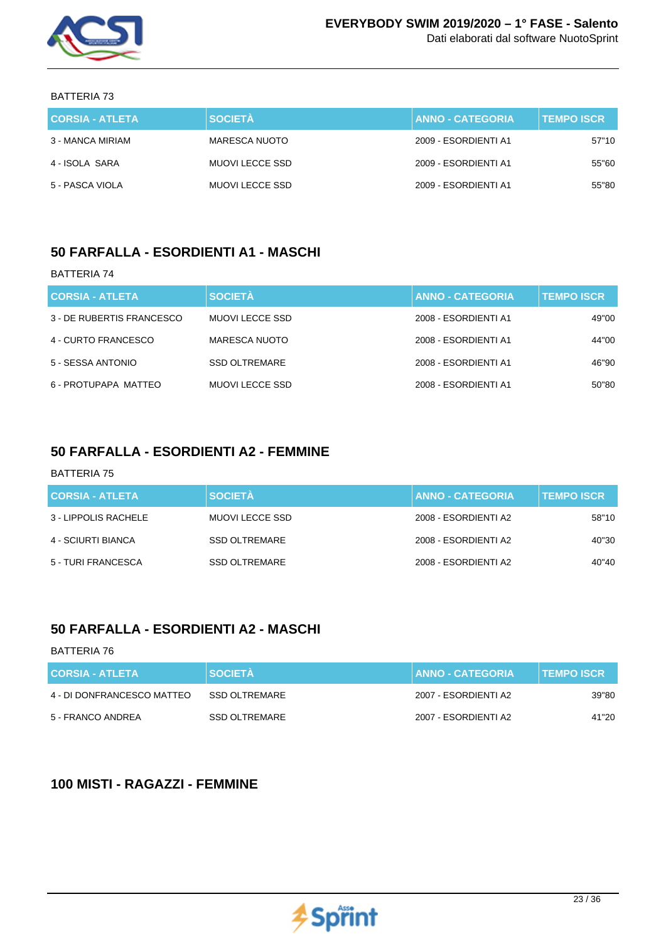

| CORSIA - ATLETA  | <b>SOCIETÀ</b>  | ANNO - CATEGORIA     | <b>TEMPO ISCR</b> |
|------------------|-----------------|----------------------|-------------------|
| 3 - MANCA MIRIAM | MARESCA NUOTO   | 2009 - ESORDIENTI A1 | 57"10             |
| 4 - ISOLA SARA   | MUOVI LECCE SSD | 2009 - ESORDIENTI A1 | 55"60             |
| 5 - PASCA VIOLA  | MUOVI LECCE SSD | 2009 - ESORDIENTI A1 | 55"80             |

### **50 FARFALLA - ESORDIENTI A1 - MASCHI**

#### BATTERIA 74

| <b>CORSIA - ATLETA</b>    | <b>SOCIETÀ</b>         | <b>ANNO - CATEGORIA</b> | <b>TEMPO ISCR.</b> |
|---------------------------|------------------------|-------------------------|--------------------|
| 3 - DE RUBERTIS FRANCESCO | <b>MUOVI LECCE SSD</b> | 2008 - ESORDIENTI A1    | 49"00              |
| 4 - CURTO FRANCESCO       | MARESCA NUOTO          | 2008 - ESORDIENTI A1    | 44"00              |
| 5 - SESSA ANTONIO         | <b>SSD OLTREMARE</b>   | 2008 - ESORDIENTI A1    | 46"90              |
| 6 - PROTUPAPA MATTEO      | MUOVI LECCE SSD        | 2008 - ESORDIENTI A1    | 50"80              |

### **50 FARFALLA - ESORDIENTI A2 - FEMMINE**

### BATTERIA 75

| <b>CORSIA - ATLETA</b> | <b>SOCIETÀ</b>       | <b>ANNO - CATEGORIA</b> | <b>TEMPO ISCR</b> |
|------------------------|----------------------|-------------------------|-------------------|
| 3 - LIPPOLIS RACHELE   | MUOVI LECCE SSD      | 2008 - ESORDIENTI A2    | 58"10             |
| 4 - SCIURTI BIANCA     | <b>SSD OLTREMARE</b> | 2008 - ESORDIENTI A2    | 40"30             |
| 5 - TURI FRANCESCA     | <b>SSD OLTREMARE</b> | 2008 - ESORDIENTI A2    | 40"40             |

## **50 FARFALLA - ESORDIENTI A2 - MASCHI**

#### BATTERIA 76

| <b>CORSIA - ATLETA</b>     | <b>N SOCIETÀ</b> | <b>ANNO - CATEGORIA</b> | <b>TEMPO ISCR</b> |
|----------------------------|------------------|-------------------------|-------------------|
| 4 - DI DONFRANCESCO MATTEO | SSD OLTREMARE    | 2007 - ESORDIENTI A2    | 39"80             |
| 5 - FRANCO ANDREA          | SSD OLTREMARE    | 2007 - ESORDIENTI A2    | 41"20             |

## **100 MISTI - RAGAZZI - FEMMINE**

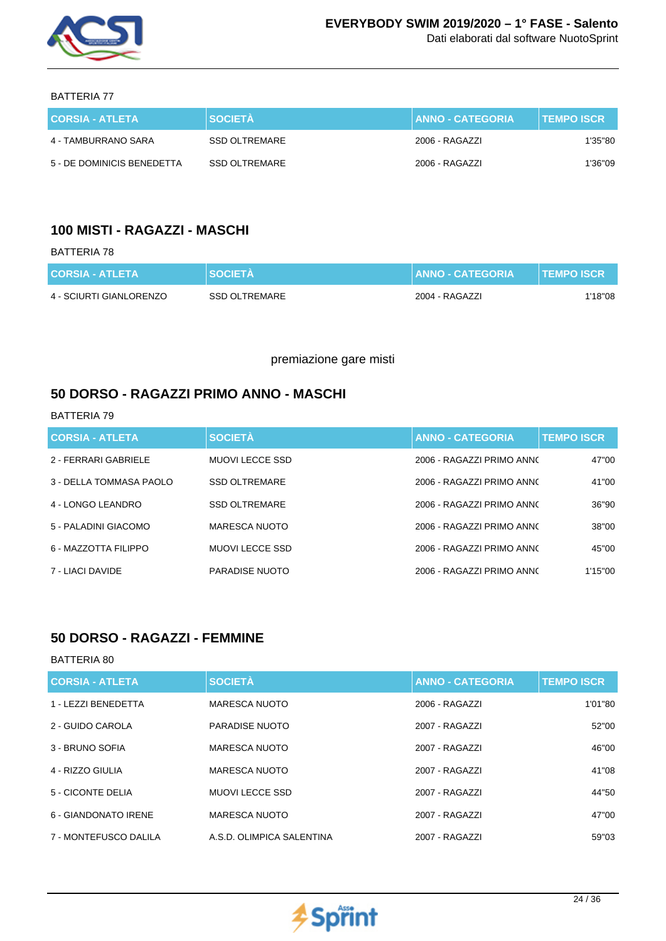

Dati elaborati dal software NuotoSprint

BATTERIA 77

| <b>CORSIA - ATLETA</b>     | <b>SOCIETA</b> | <b>ANNO - CATEGORIA</b> | <b>TEMPO ISCR</b> |
|----------------------------|----------------|-------------------------|-------------------|
| 4 - TAMBURRANO SARA        | SSD OLTREMARE  | 2006 - RAGAZZI          | 1'35"80           |
| 5 - DE DOMINICIS BENEDETTA | SSD OLTREMARE  | 2006 - RAGAZZI          | 1'36"09           |

## **100 MISTI - RAGAZZI - MASCHI**

### BATTERIA 78

| <b>CORSIA - ATLETA</b>  | <b>SOCIETA</b> | <b>ANNO - CATEGORIA</b> | I TEMPO ISCR \ |
|-------------------------|----------------|-------------------------|----------------|
| 4 - SCIURTI GIANLORENZO | SSD OLTREMARE  | 2004 - RAGAZZI          | 1'18"08        |

premiazione gare misti

### **50 DORSO - RAGAZZI PRIMO ANNO - MASCHI**

#### BATTERIA 79

| <b>CORSIA - ATLETA</b>  | <b>SOCIETÀ</b>        | <b>ANNO - CATEGORIA</b>   | <b>TEMPO ISCR</b> |
|-------------------------|-----------------------|---------------------------|-------------------|
| 2 - FERRARI GABRIELE    | MUOVI LECCE SSD       | 2006 - RAGAZZI PRIMO ANNO | 47"00             |
| 3 - DELLA TOMMASA PAOLO | <b>SSD OLTREMARE</b>  | 2006 - RAGAZZI PRIMO ANNO | 41"00             |
| 4 - LONGO LEANDRO       | <b>SSD OLTREMARE</b>  | 2006 - RAGAZZI PRIMO ANNO | 36"90             |
| 5 - PALADINI GIACOMO    | <b>MARESCA NUOTO</b>  | 2006 - RAGAZZI PRIMO ANNO | 38"00             |
| 6 - MAZZOTTA FILIPPO    | <b>MUOVILECCE SSD</b> | 2006 - RAGAZZI PRIMO ANNO | 45"00             |
| 7 - LIACI DAVIDE        | PARADISE NUOTO        | 2006 - RAGAZZI PRIMO ANNO | 1'15"00           |

## **50 DORSO - RAGAZZI - FEMMINE**

| <b>CORSIA - ATLETA</b> | <b>SOCIETÀ</b>            | <b>ANNO - CATEGORIA</b> | <b>TEMPO ISCR</b> |
|------------------------|---------------------------|-------------------------|-------------------|
| 1 - LEZZI BENEDETTA    | <b>MARESCA NUOTO</b>      | 2006 - RAGAZZI          | 1'01"80           |
| 2 - GUIDO CAROLA       | PARADISE NUOTO            | 2007 - RAGAZZI          | 52"00             |
| 3 - BRUNO SOFIA        | MARESCA NUOTO             | 2007 - RAGAZZI          | 46"00             |
| 4 - RIZZO GIULIA       | <b>MARESCA NUOTO</b>      | 2007 - RAGAZZI          | 41"08             |
| 5 - CICONTE DELIA      | <b>MUOVILECCE SSD</b>     | 2007 - RAGAZZI          | 44"50             |
| 6 - GIANDONATO IRENE   | MARESCA NUOTO             | 2007 - RAGAZZI          | 47"00             |
| 7 - MONTEFUSCO DALILA  | A.S.D. OLIMPICA SALENTINA | 2007 - RAGAZZI          | 59"03             |

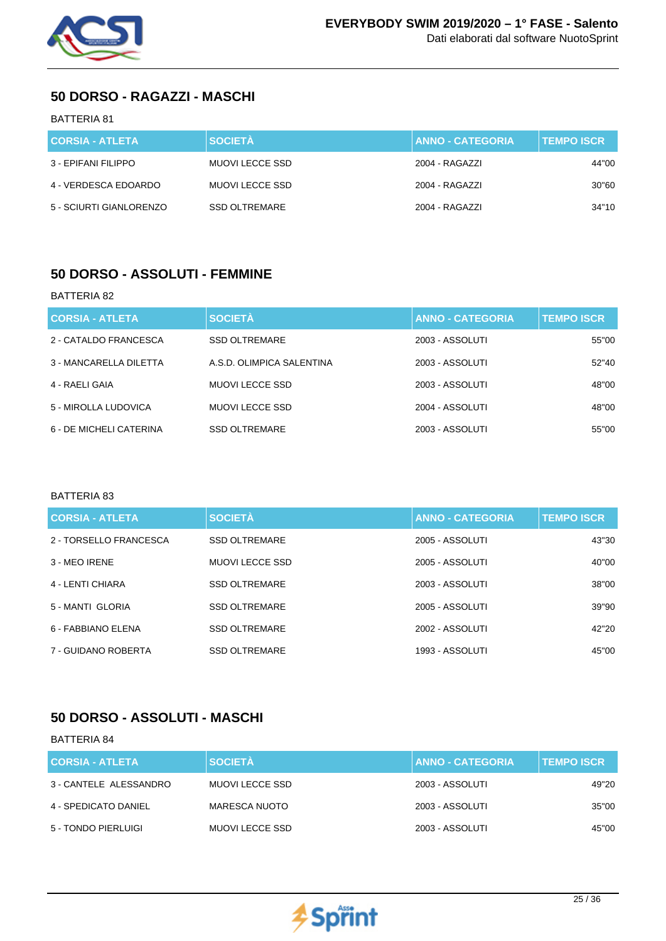

## **50 DORSO - RAGAZZI - MASCHI**

### BATTERIA 81

| <b>CORSIA - ATLETA</b>  | <b>SOCIETÀ</b>       | <b>ANNO - CATEGORIA</b> | <b>TEMPO ISCR</b> |
|-------------------------|----------------------|-------------------------|-------------------|
| 3 - EPIFANI FILIPPO     | MUOVI LECCE SSD      | 2004 - RAGAZZI          | 44"00             |
| 4 - VERDESCA EDOARDO    | MUOVI LECCE SSD      | 2004 - RAGAZZI          | 30"60             |
| 5 - SCIURTI GIANLORENZO | <b>SSD OLTREMARE</b> | 2004 - RAGAZZI          | 34"10             |

## **50 DORSO - ASSOLUTI - FEMMINE**

#### BATTERIA 82

| <b>CORSIA - ATLETA</b>  | <b>SOCIETÀ</b>            | <b>ANNO - CATEGORIA</b> | <b>TEMPO ISCR</b> |
|-------------------------|---------------------------|-------------------------|-------------------|
| 2 - CATALDO FRANCESCA   | <b>SSD OLTREMARE</b>      | 2003 - ASSOLUTI         | 55"00             |
| 3 - MANCARELLA DILETTA  | A.S.D. OLIMPICA SALENTINA | 2003 - ASSOLUTI         | 52"40             |
| 4 - RAELI GAIA          | MUOVI LECCE SSD           | 2003 - ASSOLUTI         | 48"00             |
| 5 - MIROLLA LUDOVICA    | MUOVI LECCE SSD           | 2004 - ASSOLUTI         | 48"00             |
| 6 - DE MICHELI CATERINA | <b>SSD OLTREMARE</b>      | 2003 - ASSOLUTI         | 55"00             |

#### BATTERIA 83

| <b>CORSIA - ATLETA</b> | <b>SOCIETÀ</b>       | <b>ANNO - CATEGORIA</b> | <b>TEMPO ISCR</b> |
|------------------------|----------------------|-------------------------|-------------------|
| 2 - TORSELLO FRANCESCA | <b>SSD OLTREMARE</b> | 2005 - ASSOLUTI         | 43"30             |
| 3 - MEO IRENE          | MUOVI LECCE SSD      | 2005 - ASSOLUTI         | 40"00             |
| 4 - LENTI CHIARA       | <b>SSD OLTREMARE</b> | 2003 - ASSOLUTI         | 38"00             |
| 5 - MANTI GLORIA       | <b>SSD OLTREMARE</b> | 2005 - ASSOLUTI         | 39"90             |
| 6 - FABBIANO ELENA     | <b>SSD OLTREMARE</b> | 2002 - ASSOLUTI         | 42"20             |
| 7 - GUIDANO ROBERTA    | <b>SSD OLTREMARE</b> | 1993 - ASSOLUTI         | 45"00             |

## **50 DORSO - ASSOLUTI - MASCHI**

| <b>CORSIA - ATLETA</b> | <b>SOCIETÀ</b>  | <b>ANNO - CATEGORIA</b> | <b>TEMPO ISCR</b> |
|------------------------|-----------------|-------------------------|-------------------|
| 3 - CANTELE ALESSANDRO | MUOVI LECCE SSD | 2003 - ASSOLUTI         | 49"20             |
| 4 - SPEDICATO DANIEL   | MARESCA NUOTO   | 2003 - ASSOLUTI         | 35"00             |
| 5 - TONDO PIERLUIGI    | MUOVI LECCE SSD | 2003 - ASSOLUTI         | 45"00             |

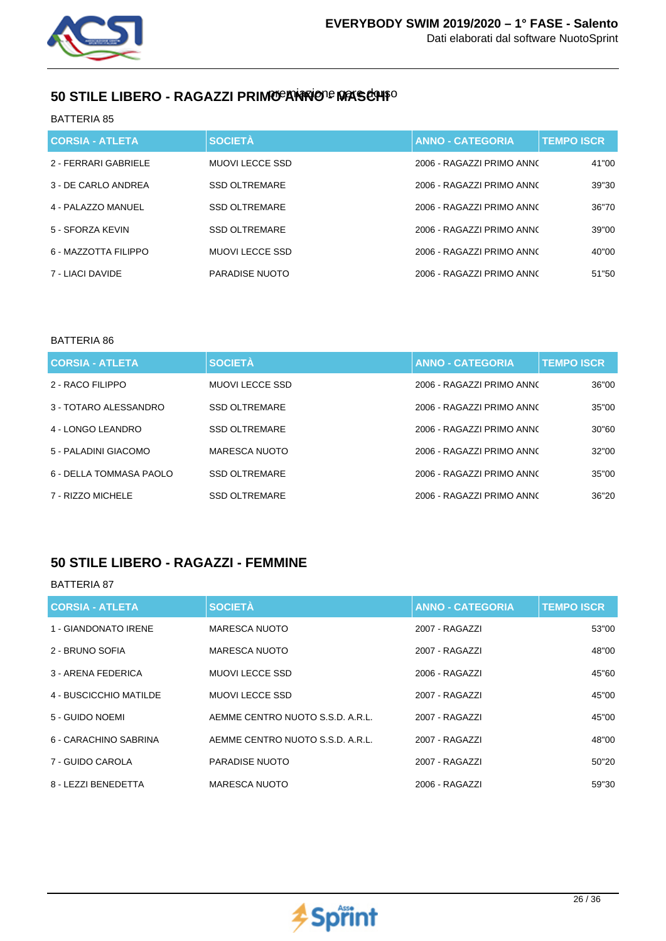

# 50 STILE LIBERO - RAGAZZI PRIMO **EXIRIO E MASCHI**O

BATTERIA 85

| <b>CORSIA - ATLETA</b> | <b>SOCIETÀ</b>       | <b>ANNO - CATEGORIA</b>   | <b>TEMPO ISCR</b> |
|------------------------|----------------------|---------------------------|-------------------|
| 2 - FERRARI GABRIELE   | MUOVI LECCE SSD      | 2006 - RAGAZZI PRIMO ANNO | 41"00             |
| 3 - DE CARLO ANDREA    | <b>SSD OLTREMARE</b> | 2006 - RAGAZZI PRIMO ANNO | 39"30             |
| 4 - PAI AZZO MANUFI    | <b>SSD OLTREMARE</b> | 2006 - RAGAZZI PRIMO ANNO | 36"70             |
| 5 - SFORZA KEVIN       | <b>SSD OLTREMARE</b> | 2006 - RAGAZZI PRIMO ANNO | 39"00             |
| 6 - MAZZOTTA FILIPPO   | MUOVI LECCE SSD      | 2006 - RAGAZZI PRIMO ANNO | 40"00             |
| 7 - LIACI DAVIDE       | PARADISE NUOTO       | 2006 - RAGAZZI PRIMO ANNO | 51"50             |

### BATTERIA 86

| <b>CORSIA - ATLETA</b>  | <b>SOCIETÀ</b>       | <b>ANNO - CATEGORIA</b>   | <b>TEMPO ISCR</b> |
|-------------------------|----------------------|---------------------------|-------------------|
| 2 - RACO FILIPPO        | MUOVI LECCE SSD      | 2006 - RAGAZZI PRIMO ANNO | 36"00             |
| 3 - TOTARO ALESSANDRO   | <b>SSD OLTREMARE</b> | 2006 - RAGAZZI PRIMO ANNO | 35"00             |
| 4 - LONGO LEANDRO       | <b>SSD OLTREMARE</b> | 2006 - RAGAZZI PRIMO ANNO | 30"60             |
| 5 - PALADINI GIACOMO    | <b>MARESCA NUOTO</b> | 2006 - RAGAZZI PRIMO ANNO | 32"00             |
| 6 - DELLA TOMMASA PAOLO | <b>SSD OLTREMARE</b> | 2006 - RAGAZZI PRIMO ANNO | 35"00             |
| 7 - RIZZO MICHELE       | <b>SSD OLTREMARE</b> | 2006 - RAGAZZI PRIMO ANNO | 36"20             |

## **50 STILE LIBERO - RAGAZZI - FEMMINE**

| <b>CORSIA - ATLETA</b> | <b>SOCIETÀ</b>                   | <b>ANNO - CATEGORIA</b> | <b>TEMPO ISCR</b> |
|------------------------|----------------------------------|-------------------------|-------------------|
| 1 - GIANDONATO IRENE   | <b>MARESCA NUOTO</b>             | 2007 - RAGAZZI          | 53"00             |
| 2 - BRUNO SOFIA        | MARESCA NUOTO                    | 2007 - RAGAZZI          | 48"00             |
| 3 - ARENA FEDERICA     | <b>MUOVILECCE SSD</b>            | 2006 - RAGAZZI          | 45"60             |
| 4 - BUSCICCHIO MATILDE | MUOVI LECCE SSD                  | 2007 - RAGAZZI          | 45"00             |
| 5 - GUIDO NOEMI        | AEMME CENTRO NUOTO S.S.D. A.R.L. | 2007 - RAGAZZI          | 45"00             |
| 6 - CARACHINO SABRINA  | AEMME CENTRO NUOTO S.S.D. A.R.L. | 2007 - RAGAZZI          | 48"00             |
| 7 - GUIDO CAROLA       | PARADISE NUOTO                   | 2007 - RAGAZZI          | 50"20             |
| 8 - LEZZI BENEDETTA    | MARESCA NUOTO                    | 2006 - RAGAZZI          | 59"30             |

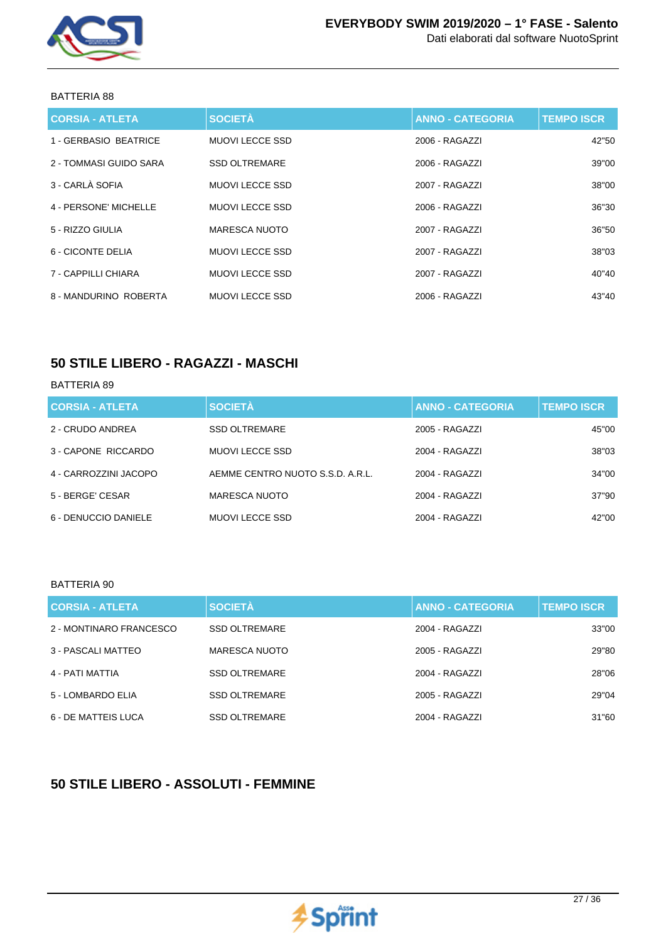

| <b>CORSIA - ATLETA</b> | <b>SOCIETÀ</b>         | <b>ANNO - CATEGORIA</b> | <b>TEMPO ISCR</b> |
|------------------------|------------------------|-------------------------|-------------------|
| 1 - GERBASIO BEATRICE  | <b>MUOVI LECCE SSD</b> | 2006 - RAGAZZI          | 42"50             |
| 2 - TOMMASI GUIDO SARA | <b>SSD OLTREMARE</b>   | 2006 - RAGAZZI          | 39"00             |
| 3 - CARLÀ SOFIA        | MUOVI LECCE SSD        | 2007 - RAGAZZI          | 38"00             |
| 4 - PERSONE' MICHELLE  | MUOVI LECCE SSD        | 2006 - RAGAZZI          | 36"30             |
| 5 - RIZZO GIULIA       | MARESCA NUOTO          | 2007 - RAGAZZI          | 36"50             |
| 6 - CICONTE DELIA      | MUOVI LECCE SSD        | 2007 - RAGAZZI          | 38"03             |
| 7 - CAPPILLI CHIARA    | MUOVI LECCE SSD        | 2007 - RAGAZZI          | 40"40             |
| 8 - MANDURINO ROBERTA  | MUOVI LECCE SSD        | 2006 - RAGAZZI          | 43"40             |

### **50 STILE LIBERO - RAGAZZI - MASCHI**

#### BATTERIA 89

| <b>CORSIA - ATLETA</b> | <b>SOCIETÀ</b>                   | <b>ANNO - CATEGORIA</b> | <b>TEMPO ISCR.</b> |
|------------------------|----------------------------------|-------------------------|--------------------|
| 2 - CRUDO ANDREA       | <b>SSD OLTREMARE</b>             | 2005 - RAGAZZI          | 45"00              |
| 3 - CAPONE RICCARDO    | MUOVI LECCE SSD                  | 2004 - RAGAZZI          | 38"03              |
| 4 - CARROZZINI JACOPO  | AEMME CENTRO NUOTO S.S.D. A.R.L. | 2004 - RAGAZZI          | 34"00              |
| 5 - BERGE' CESAR       | MARESCA NUOTO                    | 2004 - RAGAZZI          | 37"90              |
| 6 - DENUCCIO DANIELE   | MUOVI LECCE SSD                  | 2004 - RAGAZZI          | 42"00              |

#### BATTERIA 90

| <b>CORSIA - ATLETA</b>  | <b>SOCIETÀ</b>       | <b>ANNO - CATEGORIA</b> | <b>TEMPO ISCR.</b> |
|-------------------------|----------------------|-------------------------|--------------------|
| 2 - MONTINARO FRANCESCO | <b>SSD OLTREMARE</b> | 2004 - RAGAZZI          | 33"00              |
| 3 - PASCALI MATTEO      | MARESCA NUOTO        | 2005 - RAGAZZI          | 29"80              |
| 4 - PATI MATTIA         | <b>SSD OLTREMARE</b> | 2004 - RAGAZZI          | 28"06              |
| 5 - LOMBARDO ELIA       | <b>SSD OLTREMARE</b> | 2005 - RAGAZZI          | 29"04              |
| 6 - DE MATTEIS LUCA     | <b>SSD OLTREMARE</b> | 2004 - RAGAZZI          | 31"60              |

# **50 STILE LIBERO - ASSOLUTI - FEMMINE**

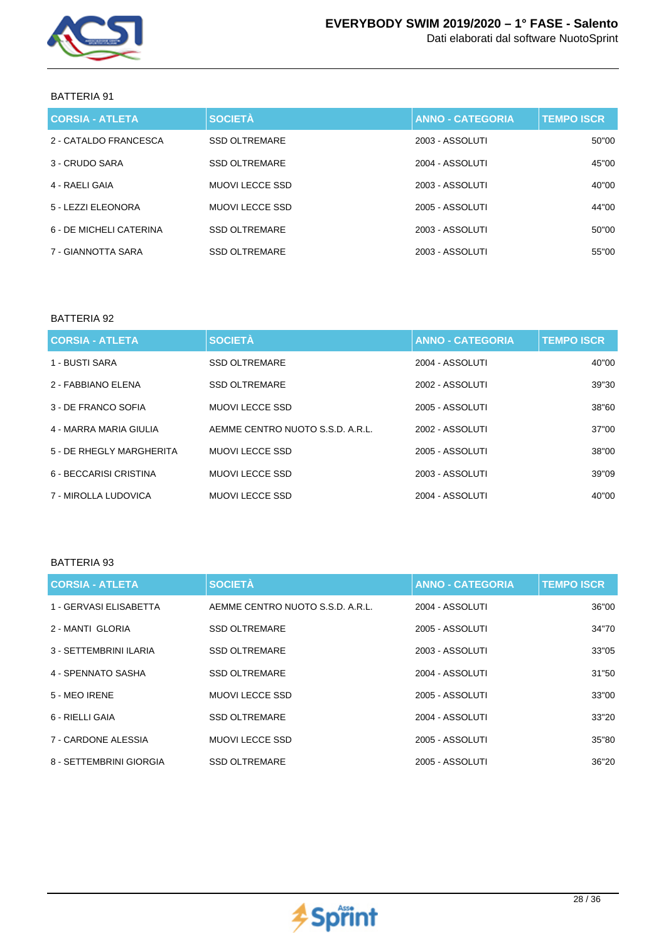

Dati elaborati dal software NuotoSprint

### BATTERIA 91

| <b>CORSIA - ATLETA</b>  | <b>SOCIETÀ</b>       | <b>ANNO - CATEGORIA</b> | <b>TEMPO ISCR</b> |
|-------------------------|----------------------|-------------------------|-------------------|
| 2 - CATALDO FRANCESCA   | <b>SSD OLTREMARE</b> | 2003 - ASSOLUTI         | 50"00             |
| 3 - CRUDO SARA          | <b>SSD OLTREMARE</b> | 2004 - ASSOLUTI         | 45"00             |
| 4 - RAELI GAIA          | MUOVI LECCE SSD      | 2003 - ASSOLUTI         | 40"00             |
| 5 - LEZZI ELEONORA      | MUOVI LECCE SSD      | 2005 - ASSOLUTI         | 44"00             |
| 6 - DE MICHELI CATERINA | <b>SSD OLTREMARE</b> | 2003 - ASSOLUTI         | 50"00             |
| 7 - GIANNOTTA SARA      | <b>SSD OLTREMARE</b> | 2003 - ASSOLUTI         | 55"00             |

### BATTERIA 92

| <b>CORSIA - ATLETA</b>   | <b>SOCIETÀ</b>                   | <b>ANNO - CATEGORIA</b> | <b>TEMPO ISCR</b> |
|--------------------------|----------------------------------|-------------------------|-------------------|
| 1 - BUSTI SARA           | <b>SSD OLTREMARE</b>             | 2004 - ASSOLUTI         | 40"00             |
| 2 - FABBIANO ELENA       | <b>SSD OLTREMARE</b>             | 2002 - ASSOLUTI         | 39"30             |
| 3 - DE FRANCO SOFIA      | <b>MUOVILECCE SSD</b>            | 2005 - ASSOLUTI         | 38"60             |
| 4 - MARRA MARIA GIULIA   | AEMME CENTRO NUOTO S.S.D. A.R.L. | 2002 - ASSOLUTI         | 37"00             |
| 5 - DE RHEGLY MARGHERITA | MUOVI LECCE SSD                  | 2005 - ASSOLUTI         | 38"00             |
| 6 - BECCARISI CRISTINA   | <b>MUOVILECCE SSD</b>            | 2003 - ASSOLUTI         | 39"09             |
| 7 - MIROLLA LUDOVICA     | <b>MUOVILECCE SSD</b>            | 2004 - ASSOLUTI         | 40"00             |

| <b>CORSIA - ATLETA</b>  | <b>SOCIETÀ</b>                   | <b>ANNO - CATEGORIA</b> | <b>TEMPO ISCR</b> |
|-------------------------|----------------------------------|-------------------------|-------------------|
| 1 - GERVASI ELISABETTA  | AEMME CENTRO NUOTO S.S.D. A.R.L. | 2004 - ASSOLUTI         | 36"00             |
| 2 - MANTI GLORIA        | <b>SSD OLTREMARE</b>             | 2005 - ASSOLUTI         | 34"70             |
| 3 - SETTEMBRINI ILARIA  | <b>SSD OLTREMARE</b>             | 2003 - ASSOLUTI         | 33"05             |
| 4 - SPENNATO SASHA      | <b>SSD OLTREMARE</b>             | 2004 - ASSOLUTI         | 31"50             |
| 5 - MEO IRENE           | MUOVI LECCE SSD                  | 2005 - ASSOLUTI         | 33"00             |
| 6 - RIELLI GAIA         | <b>SSD OLTREMARE</b>             | 2004 - ASSOLUTI         | 33"20             |
| 7 - CARDONE ALESSIA     | MUOVI LECCE SSD                  | 2005 - ASSOLUTI         | 35"80             |
| 8 - SETTEMBRINI GIORGIA | <b>SSD OLTREMARE</b>             | 2005 - ASSOLUTI         | 36"20             |

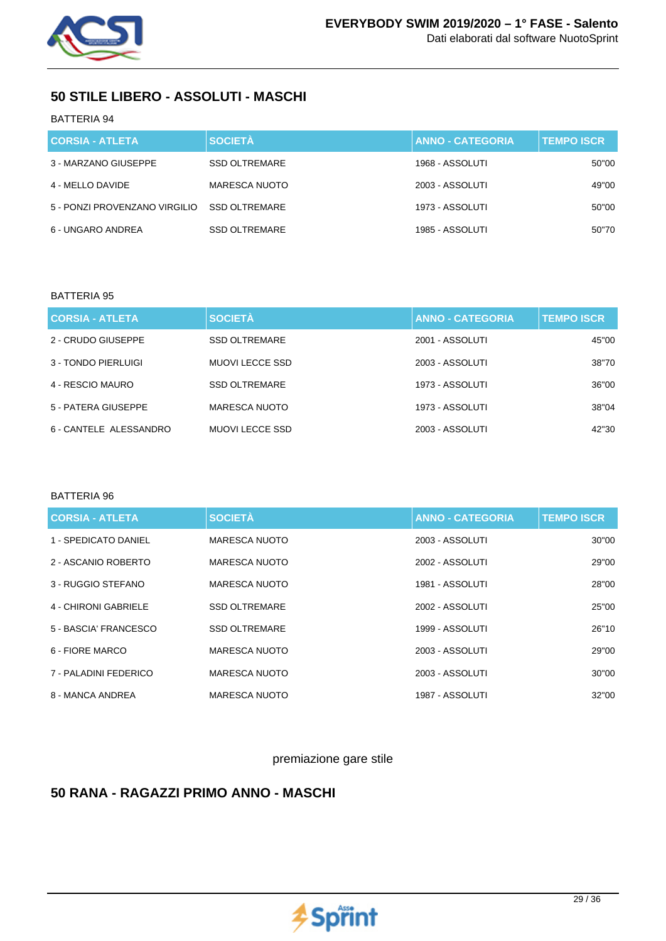

## **50 STILE LIBERO - ASSOLUTI - MASCHI**

### BATTERIA 94

| <b>CORSIA - ATLETA</b>        | <b>SOCIETÀ</b>       | <b>ANNO - CATEGORIA</b> | <b>TEMPO ISCR</b> |
|-------------------------------|----------------------|-------------------------|-------------------|
| 3 - MARZANO GIUSEPPE          | <b>SSD OLTREMARE</b> | 1968 - ASSOLUTI         | 50"00             |
| 4 - MELLO DAVIDE              | <b>MARESCA NUOTO</b> | 2003 - ASSOLUTI         | 49"00             |
| 5 - PONZI PROVENZANO VIRGILIO | <b>SSD OLTREMARE</b> | 1973 - ASSOLUTI         | 50"00             |
| 6 - UNGARO ANDREA             | <b>SSD OLTREMARE</b> | 1985 - ASSOLUTI         | 50"70             |

#### BATTERIA 95

| <b>CORSIA - ATLETA</b> | <b>SOCIETÀ</b>       | <b>ANNO - CATEGORIA</b> | <b>TEMPO ISCR.</b> |
|------------------------|----------------------|-------------------------|--------------------|
| 2 - CRUDO GIUSEPPE     | <b>SSD OLTREMARE</b> | 2001 - ASSOLUTI         | 45"00              |
| 3 - TONDO PIERLUIGI    | MUOVI LECCE SSD      | 2003 - ASSOLUTI         | 38"70              |
| 4 - RESCIO MAURO       | <b>SSD OLTREMARE</b> | 1973 - ASSOLUTI         | 36"00              |
| 5 - PATERA GIUSEPPE    | MARESCA NUOTO        | 1973 - ASSOLUTI         | 38"04              |
| 6 - CANTELE ALESSANDRO | MUOVI LECCE SSD      | 2003 - ASSOLUTI         | 42"30              |

#### BATTERIA 96

| <b>CORSIA - ATLETA</b> | <b>SOCIETÀ</b>       | <b>ANNO - CATEGORIA</b> | <b>TEMPO ISCR</b> |
|------------------------|----------------------|-------------------------|-------------------|
| 1 - SPEDICATO DANIEL   | MARESCA NUOTO        | 2003 - ASSOLUTI         | 30"00             |
| 2 - ASCANIO ROBERTO    | <b>MARESCA NUOTO</b> | 2002 - ASSOLUTI         | 29"00             |
| 3 - RUGGIO STEFANO     | MARESCA NUOTO        | 1981 - ASSOLUTI         | 28"00             |
| 4 - CHIRONI GABRIELE   | <b>SSD OLTREMARE</b> | 2002 - ASSOLUTI         | 25"00             |
| 5 - BASCIA' FRANCESCO  | <b>SSD OLTREMARE</b> | 1999 - ASSOLUTI         | 26"10             |
| 6 - FIORE MARCO        | MARESCA NUOTO        | 2003 - ASSOLUTI         | 29"00             |
| 7 - PALADINI FEDERICO  | <b>MARESCA NUOTO</b> | 2003 - ASSOLUTI         | 30"00             |
| 8 - MANCA ANDREA       | MARESCA NUOTO        | 1987 - ASSOLUTI         | 32"00             |

### premiazione gare stile

## **50 RANA - RAGAZZI PRIMO ANNO - MASCHI**

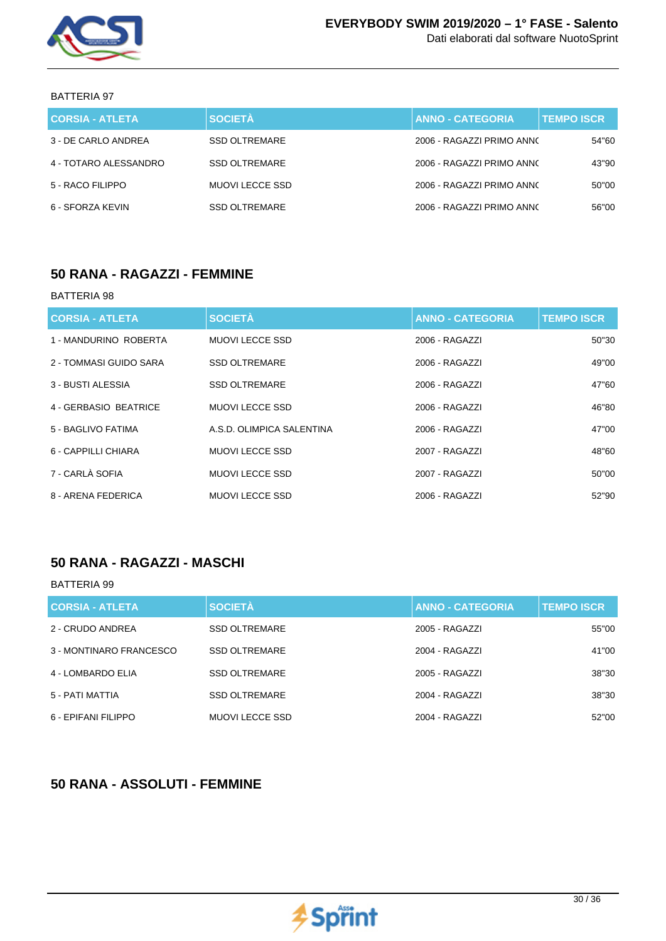

Dati elaborati dal software NuotoSprint

#### BATTERIA 97

| <b>CORSIA - ATLETA</b> | <b>SOCIETÀ</b>       | <b>ANNO - CATEGORIA</b>   | <b>TEMPO ISCR</b> |
|------------------------|----------------------|---------------------------|-------------------|
| 3 - DE CARLO ANDREA    | <b>SSD OLTREMARE</b> | 2006 - RAGAZZI PRIMO ANNO | 54"60             |
| 4 - TOTARO ALESSANDRO  | <b>SSD OLTREMARE</b> | 2006 - RAGAZZI PRIMO ANNO | 43"90             |
| 5 - RACO FILIPPO       | MUOVI LECCE SSD      | 2006 - RAGAZZI PRIMO ANNO | 50"00             |
| 6 - SFORZA KEVIN       | <b>SSD OLTREMARE</b> | 2006 - RAGAZZI PRIMO ANNO | 56"00             |

### **50 RANA - RAGAZZI - FEMMINE**

#### BATTERIA 98

| <b>CORSIA - ATLETA</b> | <b>SOCIETÀ</b>            | <b>ANNO - CATEGORIA</b> | <b>TEMPO ISCR</b> |
|------------------------|---------------------------|-------------------------|-------------------|
| 1 - MANDURINO ROBERTA  | MUOVI LECCE SSD           | 2006 - RAGAZZI          | 50"30             |
| 2 - TOMMASI GUIDO SARA | <b>SSD OLTREMARE</b>      | 2006 - RAGAZZI          | 49"00             |
| 3 - BUSTI ALESSIA      | <b>SSD OLTREMARE</b>      | 2006 - RAGAZZI          | 47"60             |
| 4 - GERBASIO BEATRICE  | MUOVI LECCE SSD           | 2006 - RAGAZZI          | 46"80             |
| 5 - BAGLIVO FATIMA     | A.S.D. OLIMPICA SALENTINA | 2006 - RAGAZZI          | 47"00             |
| 6 - CAPPILLI CHIARA    | MUOVI LECCE SSD           | 2007 - RAGAZZI          | 48"60             |
| 7 - CARLÀ SOFIA        | MUOVI LECCE SSD           | 2007 - RAGAZZI          | 50"00             |
| 8 - ARENA FEDERICA     | MUOVI LECCE SSD           | 2006 - RAGAZZI          | 52"90             |

### **50 RANA - RAGAZZI - MASCHI**

BATTERIA 99

| <b>CORSIA - ATLETA</b>  | <b>SOCIETÀ</b>         | <b>ANNO - CATEGORIA</b> | <b>TEMPO ISCR</b> |
|-------------------------|------------------------|-------------------------|-------------------|
| 2 - CRUDO ANDREA        | <b>SSD OLTREMARE</b>   | 2005 - RAGAZZI          | 55"00             |
| 3 - MONTINARO FRANCESCO | <b>SSD OLTREMARE</b>   | 2004 - RAGAZZI          | 41"00             |
| 4 - LOMBARDO ELIA       | <b>SSD OLTREMARE</b>   | 2005 - RAGAZZI          | 38"30             |
| 5 - PATI MATTIA         | <b>SSD OLTREMARE</b>   | 2004 - RAGAZZI          | 38"30             |
| 6 - EPIFANI FILIPPO     | <b>MUOVI LECCE SSD</b> | 2004 - RAGAZZI          | 52"00             |

### **50 RANA - ASSOLUTI - FEMMINE**

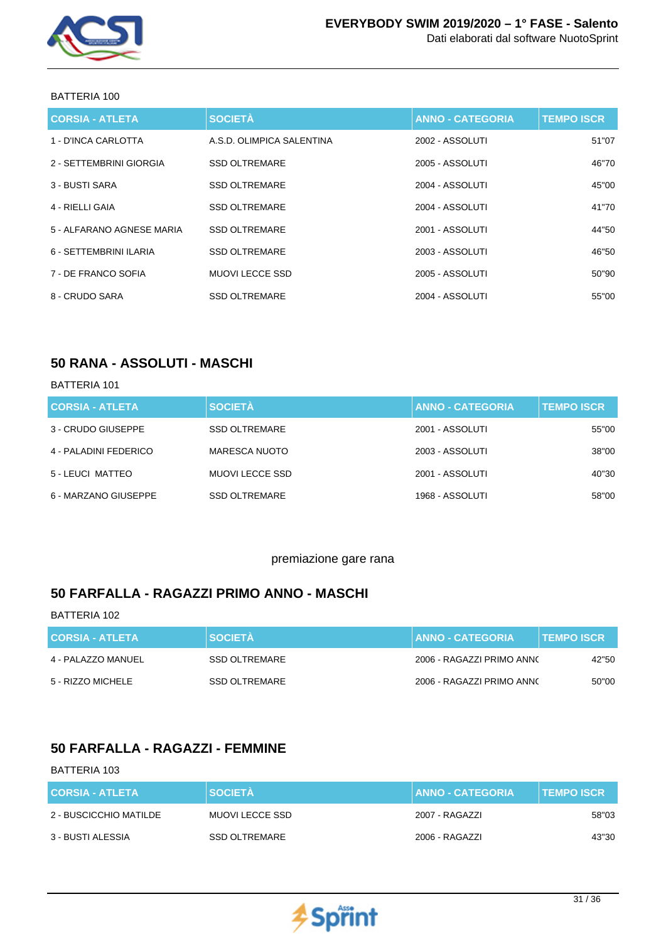

| <b>CORSIA - ATLETA</b>    | <b>SOCIETÀ</b>            | <b>ANNO - CATEGORIA</b> | <b>TEMPO ISCR</b> |
|---------------------------|---------------------------|-------------------------|-------------------|
| 1 - D'INCA CARLOTTA       | A.S.D. OLIMPICA SALENTINA | 2002 - ASSOLUTI         | 51"07             |
| 2 - SETTEMBRINI GIORGIA   | <b>SSD OLTREMARE</b>      | 2005 - ASSOLUTI         | 46"70             |
| 3 - BUSTI SARA            | <b>SSD OLTREMARE</b>      | 2004 - ASSOLUTI         | 45"00             |
| 4 - RIELLI GAIA           | <b>SSD OLTREMARE</b>      | 2004 - ASSOLUTI         | 41"70             |
| 5 - ALFARANO AGNESE MARIA | <b>SSD OLTREMARE</b>      | 2001 - ASSOLUTI         | 44"50             |
| 6 - SETTEMBRINI ILARIA    | <b>SSD OLTREMARE</b>      | 2003 - ASSOLUTI         | 46"50             |
| 7 - DE FRANCO SOFIA       | <b>MUOVILECCE SSD</b>     | 2005 - ASSOLUTI         | 50"90             |
| 8 - CRUDO SARA            | <b>SSD OLTREMARE</b>      | 2004 - ASSOLUTI         | 55"00             |

### **50 RANA - ASSOLUTI - MASCHI**

#### BATTERIA 101

| <b>CORSIA - ATLETA</b> | <b>SOCIETÀ</b>       | <b>ANNO - CATEGORIA</b> | <b>TEMPO ISCR</b> |
|------------------------|----------------------|-------------------------|-------------------|
| 3 - CRUDO GIUSEPPE     | <b>SSD OLTREMARE</b> | 2001 - ASSOLUTI         | 55"00             |
| 4 - PALADINI FEDERICO  | <b>MARESCA NUOTO</b> | 2003 - ASSOLUTI         | 38"00             |
| 5 - LEUCI MATTEO       | MUOVI LECCE SSD      | 2001 - ASSOLUTI         | 40"30             |
| 6 - MARZANO GIUSEPPE   | <b>SSD OLTREMARE</b> | 1968 - ASSOLUTI         | 58"00             |

### premiazione gare rana

### **50 FARFALLA - RAGAZZI PRIMO ANNO - MASCHI**

#### BATTERIA 102

| <b>CORSIA - ATLETA</b> | <b>SOCIETA</b>       | <b>∐ANNO - CATEGORIA</b> ≀ | <b>I TEMPO ISCR <sup>\</sup></b> |
|------------------------|----------------------|----------------------------|----------------------------------|
| 4 - PALAZZO MANUEL     | <b>SSD OLTREMARE</b> | 2006 - RAGAZZI PRIMO ANNO  | 42"50                            |
| 5 - RIZZO MICHELE      | SSD OLTREMARE        | 2006 - RAGAZZI PRIMO ANNO  | 50"00                            |

### **50 FARFALLA - RAGAZZI - FEMMINE**

| <b>CORSIA - ATLETA</b> | <b>SOCIETA</b>       | <b>ANNO - CATEGORIA</b> | <b>⊺ TEMPO ISCR</b> |
|------------------------|----------------------|-------------------------|---------------------|
| 2 - BUSCICCHIO MATILDE | MUOVI LECCE SSD      | 2007 - RAGAZZI          | 58"03               |
| 3 - BUSTI ALESSIA      | <b>SSD OLTREMARE</b> | 2006 - RAGAZZI          | 43"30               |

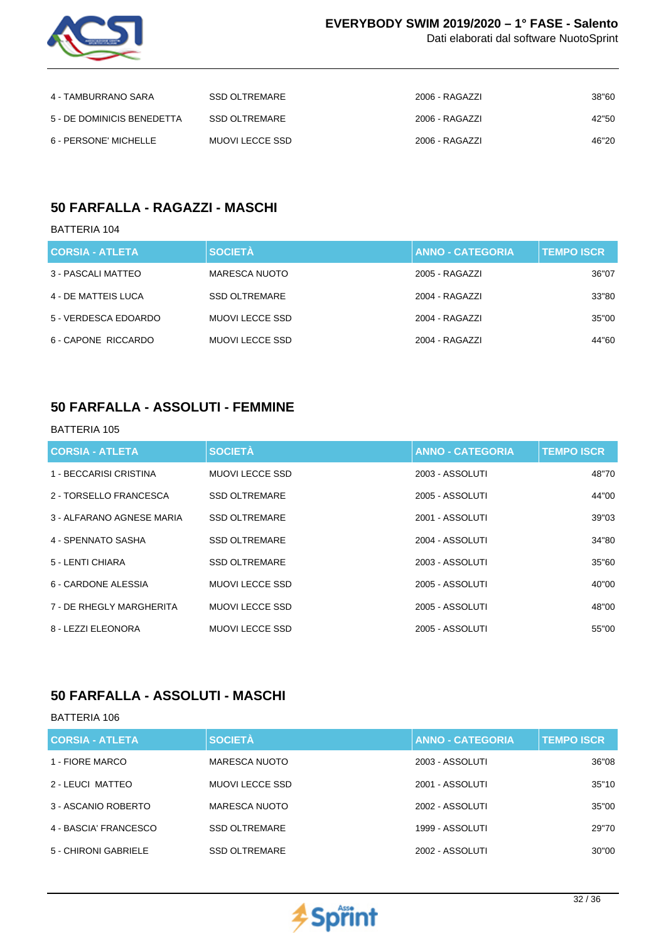

Dati elaborati dal software NuotoSprint

| 4 - TAMBURRANO SARA        | SSD OLTREMARE   | 2006 - RAGAZZI | 38"60 |
|----------------------------|-----------------|----------------|-------|
| 5 - DE DOMINICIS BENEDETTA | SSD OLTREMARE   | 2006 - RAGAZZI | 42"50 |
| 6 - PERSONE' MICHELLE      | MUOVI LECCE SSD | 2006 - RAGAZZI | 46"20 |

# **50 FARFALLA - RAGAZZI - MASCHI**

### BATTERIA 104

| <b>CORSIA - ATLETA</b> | <b>SOCIETÀ</b>       | <b>ANNO - CATEGORIA</b> | <b>TEMPO ISCR</b> |
|------------------------|----------------------|-------------------------|-------------------|
| 3 - PASCALI MATTEO     | MARESCA NUOTO        | 2005 - RAGAZZI          | 36"07             |
| 4 - DE MATTEIS LUCA    | <b>SSD OLTREMARE</b> | 2004 - RAGAZZI          | 33"80             |
| 5 - VERDESCA EDOARDO   | MUOVI LECCE SSD      | 2004 - RAGAZZI          | 35"00             |
| 6 - CAPONE RICCARDO    | MUOVI LECCE SSD      | 2004 - RAGAZZI          | 44"60             |

## **50 FARFALLA - ASSOLUTI - FEMMINE**

#### BATTERIA 105

| <b>CORSIA - ATLETA</b>    | <b>SOCIETÀ</b>         | <b>ANNO - CATEGORIA</b> | <b>TEMPO ISCR</b> |
|---------------------------|------------------------|-------------------------|-------------------|
| 1 - BECCARISI CRISTINA    | MUOVI LECCE SSD        | 2003 - ASSOLUTI         | 48"70             |
| 2 - TORSELLO FRANCESCA    | <b>SSD OLTREMARE</b>   | 2005 - ASSOLUTI         | 44"00             |
| 3 - ALFARANO AGNESE MARIA | <b>SSD OLTREMARE</b>   | 2001 - ASSOLUTI         | 39"03             |
| 4 - SPENNATO SASHA        | <b>SSD OLTREMARE</b>   | 2004 - ASSOLUTI         | 34"80             |
| 5 - LENTI CHIARA          | <b>SSD OLTREMARE</b>   | 2003 - ASSOLUTI         | 35"60             |
| 6 - CARDONE ALESSIA       | MUOVI LECCE SSD        | 2005 - ASSOLUTI         | 40"00             |
| 7 - DE RHEGLY MARGHERITA  | MUOVI LECCE SSD        | 2005 - ASSOLUTI         | 48"00             |
| 8 - LEZZI ELEONORA        | <b>MUOVI LECCE SSD</b> | 2005 - ASSOLUTI         | 55"00             |

## **50 FARFALLA - ASSOLUTI - MASCHI**

| <b>CORSIA - ATLETA</b> | <b>SOCIETÀ</b>         | <b>ANNO - CATEGORIA</b> | <b>TEMPO ISCR</b> |
|------------------------|------------------------|-------------------------|-------------------|
| 1 - FIORE MARCO        | MARESCA NUOTO          | 2003 - ASSOLUTI         | 36"08             |
| 2 - LEUCI MATTEO       | <b>MUOVI LECCE SSD</b> | 2001 - ASSOLUTI         | 35"10             |
| 3 - ASCANIO ROBERTO    | <b>MARESCA NUOTO</b>   | 2002 - ASSOLUTI         | 35"00             |
| 4 - BASCIA' FRANCESCO  | <b>SSD OLTREMARE</b>   | 1999 - ASSOLUTI         | 29"70             |
| 5 - CHIRONI GABRIELE   | <b>SSD OLTREMARE</b>   | 2002 - ASSOLUTI         | 30"00             |

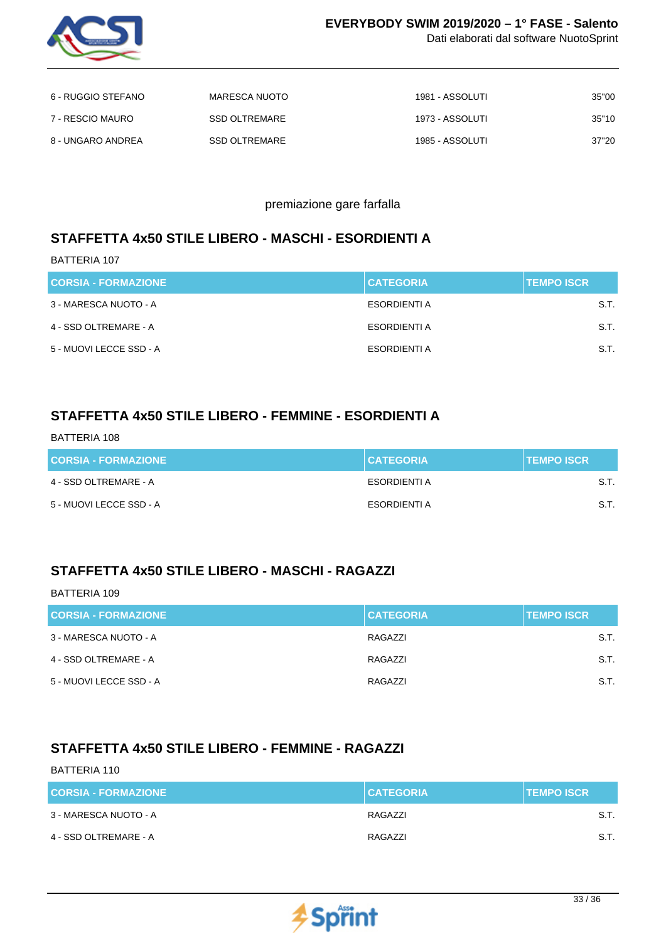

Dati elaborati dal software NuotoSprint

| 6 - RUGGIO STEFANO | MARESCA NUOTO | 1981 - ASSOLUTI | 35"00 |
|--------------------|---------------|-----------------|-------|
| 7 - RESCIO MAURO   | SSD OLTREMARE | 1973 - ASSOLUTI | 35"10 |
| 8 - UNGARO ANDREA  | SSD OLTREMARE | 1985 - ASSOLUTI | 37"20 |

premiazione gare farfalla

## **STAFFETTA 4x50 STILE LIBERO - MASCHI - ESORDIENTI A**

BATTERIA 107

| <b>CORSIA - FORMAZIONE</b> | <b>CATEGORIA</b> | <b>TEMPO ISCR</b> |
|----------------------------|------------------|-------------------|
| 3 - MARESCA NUOTO - A      | ESORDIENTI A     | S.T.              |
| 4 - SSD OLTREMARE - A      | ESORDIENTI A     | S.T.              |
| 5 - MUOVI LECCE SSD - A    | ESORDIENTI A     | S.T.              |

## **STAFFETTA 4x50 STILE LIBERO - FEMMINE - ESORDIENTI A**

BATTERIA 108

| <b>CORSIA - FORMAZIONE</b> | <b>CATEGORIA</b> | <b>TEMPO ISCR</b> |
|----------------------------|------------------|-------------------|
| 4 - SSD OLTREMARE - A      | ESORDIENTI A     | S.T.              |
| 5 - MUOVI LECCE SSD - A    | ESORDIENTI A     | S.T.              |

## **STAFFETTA 4x50 STILE LIBERO - MASCHI - RAGAZZI**

#### BATTERIA 109

| <b>CORSIA - FORMAZIONE</b> | <b>CATEGORIA</b> | <b>TEMPO ISCR</b> |
|----------------------------|------------------|-------------------|
| 3 - MARESCA NUOTO - A      | RAGAZZI          | S.T.              |
| 4 - SSD OLTREMARE - A      | RAGAZZI          | S.T.              |
| 5 - MUOVI LECCE SSD - A    | RAGAZZI          | S.T.              |

## **STAFFETTA 4x50 STILE LIBERO - FEMMINE - RAGAZZI**

| <b>CORSIA - FORMAZIONE</b> | <b>CATEGORIA</b> | <b>TEMPO ISCR</b> |
|----------------------------|------------------|-------------------|
| 3 - MARESCA NUOTO - A      | RAGAZZI          | S.T.              |
| 4 - SSD OLTREMARE - A      | RAGAZZI          | S.T.              |

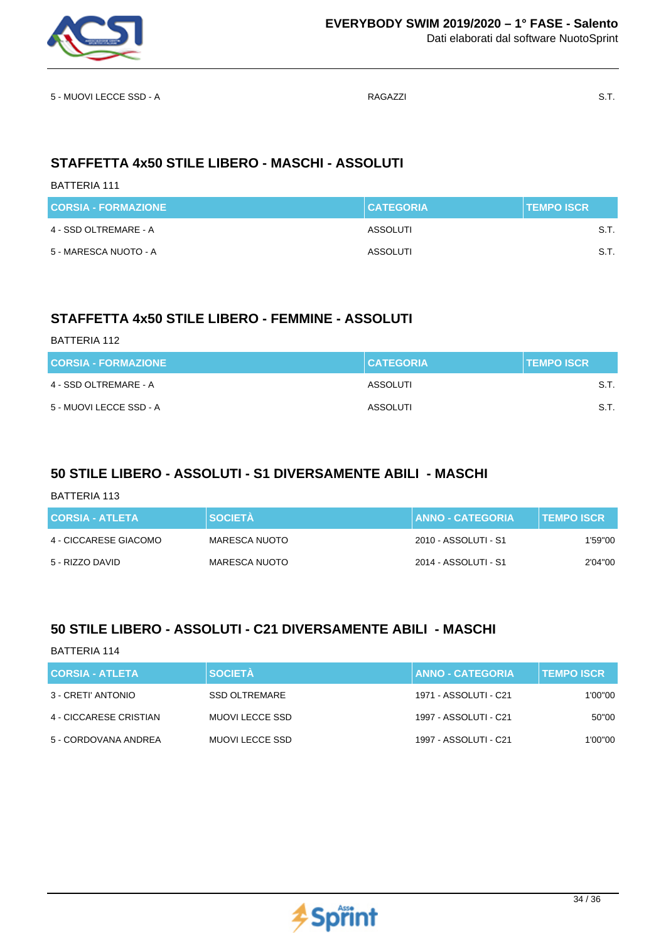

Dati elaborati dal software NuotoSprint

5 - MUOVI LECCE SSD - A GALACTER SOLO AND S.T.

# **STAFFETTA 4x50 STILE LIBERO - MASCHI - ASSOLUTI**

#### BATTERIA 111

| <b>CORSIA - FORMAZIONE</b> | <b>CATEGORIA</b> | <b>TEMPO ISCR</b> |
|----------------------------|------------------|-------------------|
| 4 - SSD OLTREMARE - A      | ASSOLUTI         | S.T.              |
| 5 - MARESCA NUOTO - A      | ASSOLUTI         | S.T.              |

## **STAFFETTA 4x50 STILE LIBERO - FEMMINE - ASSOLUTI**

| BATTERIA 112               |                  |                   |
|----------------------------|------------------|-------------------|
| <b>CORSIA - FORMAZIONE</b> | <b>CATEGORIA</b> | <b>TEMPO ISCR</b> |
| 4 - SSD OLTREMARE - A      | ASSOLUTI         | S.T.              |
| 5 - MUOVI LECCE SSD - A    | ASSOLUTI         | S.T.              |

# **50 STILE LIBERO - ASSOLUTI - S1 DIVERSAMENTE ABILI - MASCHI**

| BATTERIA 113           |                |                         |                   |
|------------------------|----------------|-------------------------|-------------------|
| <b>CORSIA - ATLETA</b> | <b>SOCIETÀ</b> | <b>ANNO - CATEGORIA</b> | <b>TEMPO ISCR</b> |
| 4 - CICCARESE GIACOMO  | MARESCA NUOTO  | 2010 - ASSOLUTI - S1    | 1'59"00           |
| 5 - RIZZO DAVID        | MARESCA NUOTO  | 2014 - ASSOLUTI - S1    | 2'04"00           |

# **50 STILE LIBERO - ASSOLUTI - C21 DIVERSAMENTE ABILI - MASCHI**

| CORSIA - ATLETA        | <b>SOCIETÀ</b>         | <b>ANNO - CATEGORIA</b> | <b>TEMPO ISCR</b> |
|------------------------|------------------------|-------------------------|-------------------|
| 3 - CRETI' ANTONIO     | SSD OLTREMARE          | 1971 - ASSOLUTI - C21   | 1'00''00          |
| 4 - CICCARESE CRISTIAN | <b>MUOVI LECCE SSD</b> | 1997 - ASSOLUTI - C21   | 50"00             |
| 5 - CORDOVANA ANDREA   | <b>MUOVI LECCE SSD</b> | 1997 - ASSOLUTI - C21   | 1'00''00          |

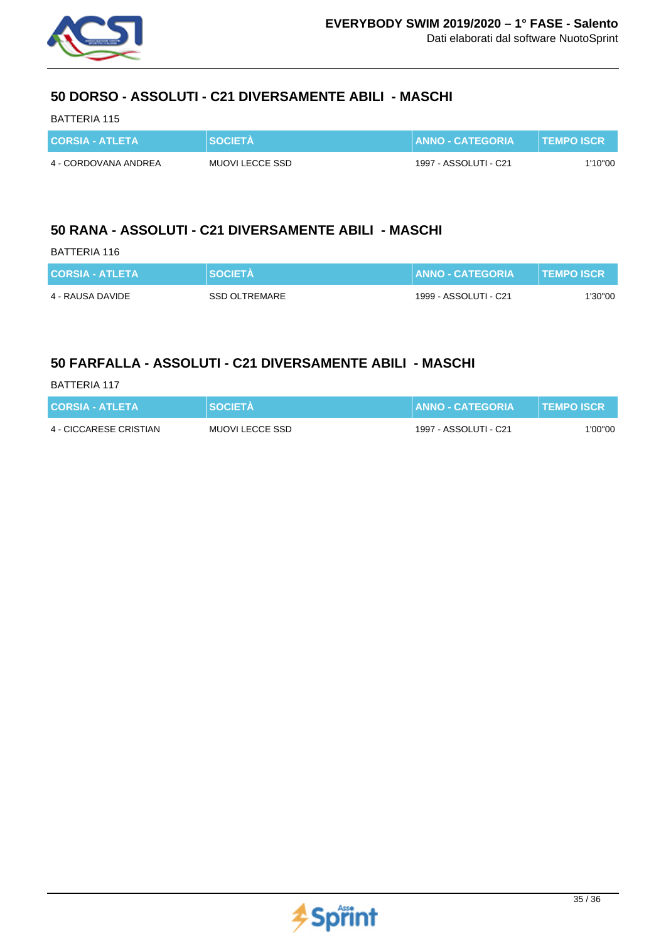

## **50 DORSO - ASSOLUTI - C21 DIVERSAMENTE ABILI - MASCHI**

### BATTERIA 115

| <b>CORSIA - ATLETA</b> | <b>SOCIETA</b>         | ∖   ANNO - CATEGORIA <sup>\</sup> | <b>TEMPO ISCR</b> |
|------------------------|------------------------|-----------------------------------|-------------------|
| 4 - CORDOVANA ANDREA   | <b>MUOVI LECCE SSD</b> | 1997 - ASSOLUTI - C21             | 1'10"00           |

### **50 RANA - ASSOLUTI - C21 DIVERSAMENTE ABILI - MASCHI**

#### BATTERIA 116

| <b>CORSIA - ATLETA</b> | <b>SOCIETA</b> | <b>∶∣ANNO - CATEGORIA <sup>1</sup></b> | <b>TEMPO ISCR</b> |
|------------------------|----------------|----------------------------------------|-------------------|
| 4 - RAUSA DAVIDE       | SSD OLTREMARE  | 1999 - ASSOLUTI - C21                  | 1'30"00           |

### **50 FARFALLA - ASSOLUTI - C21 DIVERSAMENTE ABILI - MASCHI**

| BATTERIA 117 |  |
|--------------|--|
|              |  |

| <b>CORSIA - ATLETA</b> | <b>SOCIETA</b>         | <b>↓ LANNO - CATEGORIA <sup>\</sup></b> | <b>TEMPO ISCR</b> |
|------------------------|------------------------|-----------------------------------------|-------------------|
| 4 - CICCARESE CRISTIAN | <b>MUOVI LECCE SSD</b> | 1997 - ASSOLUTI - C21                   | 1'00"00           |